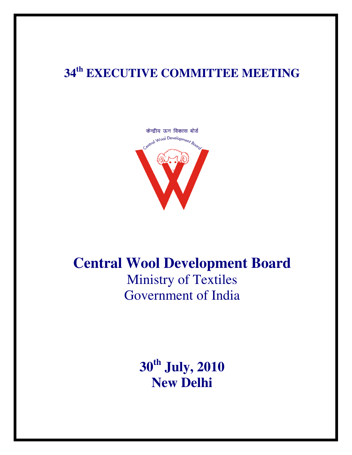# **34th EXECUTIVE COMMITTEE MEETING**



# **Central Wool Development Board**  Ministry of Textiles Government of India

**30th July, 2010 New Delhi**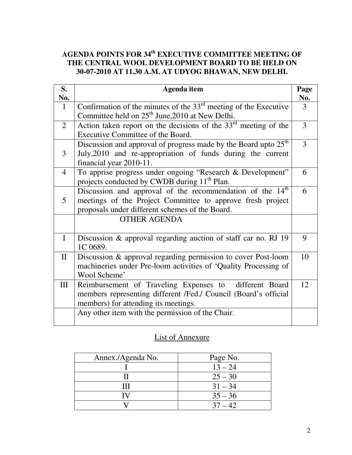# **AGENDA POINTS FOR 34th EXECUTIVE COMMITTEE MEETING OF THE CENTRAL WOOL DEVELOPMENT BOARD TO BE HELD ON 30-07-2010 AT 11.30 A.M. AT UDYOG BHAWAN, NEW DELHI.**

| S.<br>No.      | Agenda item                                                                                                                                                                            | Page<br>No. |
|----------------|----------------------------------------------------------------------------------------------------------------------------------------------------------------------------------------|-------------|
| $\mathbf{1}$   | Confirmation of the minutes of the $33rd$ meeting of the Executive<br>Committee held on 25 <sup>th</sup> June, 2010 at New Delhi.                                                      | 3           |
| $\overline{2}$ | Action taken report on the decisions of the $33rd$ meeting of the<br>Executive Committee of the Board.                                                                                 | 3           |
| 3              | Discussion and approval of progress made by the Board upto 25 <sup>th</sup><br>July, 2010 and re-appropriation of funds during the current<br>financial year 2010-11.                  | 3           |
| $\overline{4}$ | To apprise progress under ongoing "Research & Development"<br>projects conducted by CWDB during 11 <sup>th</sup> Plan.                                                                 | 6           |
| 5              | Discussion and approval of the recommendation of the 14 <sup>th</sup><br>meetings of the Project Committee to approve fresh project<br>proposals under different schemes of the Board. | 6           |
|                | <b>OTHER AGENDA</b>                                                                                                                                                                    |             |
| $\mathbf I$    | Discussion & approval regarding auction of staff car no. RJ 19<br>1C 0689.                                                                                                             | 9           |
| $\mathbf{I}$   | Discussion & approval regarding permission to cover Post-loom<br>machineries under Pre-loom activities of 'Quality Processing of<br>Wool Scheme'                                       | 10          |
| III            | Reimbursement of Traveling Expenses to different Board<br>members representing different /Fed./ Council (Board's official<br>members) for attending its meetings.                      | 12          |
|                | Any other item with the permission of the Chair.                                                                                                                                       |             |

# List of Annexure

| Annex./Agenda No. | Page No.  |
|-------------------|-----------|
|                   | $13 - 24$ |
|                   | $25 - 30$ |
| Ш                 | $31 - 34$ |
|                   | $35 - 36$ |
|                   | $37 - 42$ |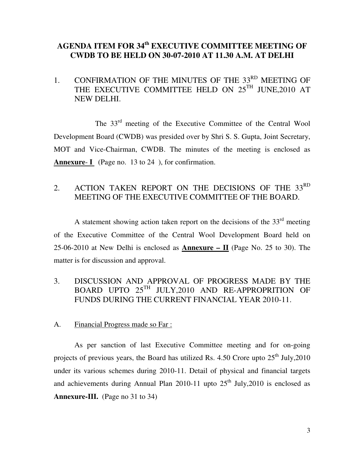# **AGENDA ITEM FOR 34th EXECUTIVE COMMITTEE MEETING OF CWDB TO BE HELD ON 30-07-2010 AT 11.30 A.M. AT DELHI**

1. CONFIRMATION OF THE MINUTES OF THE 33<sup>RD</sup> MEETING OF THE EXECUTIVE COMMITTEE HELD ON 25<sup>TH</sup> JUNE, 2010 AT NEW DELHI.

 The 33rd meeting of the Executive Committee of the Central Wool Development Board (CWDB) was presided over by Shri S. S. Gupta, Joint Secretary, MOT and Vice-Chairman, CWDB. The minutes of the meeting is enclosed as **Annexure**- **I** (Page no. 13 to 24 ), for confirmation.

# 2. ACTION TAKEN REPORT ON THE DECISIONS OF THE 33RD MEETING OF THE EXECUTIVE COMMITTEE OF THE BOARD.

A statement showing action taken report on the decisions of the  $33<sup>rd</sup>$  meeting of the Executive Committee of the Central Wool Development Board held on 25-06-2010 at New Delhi is enclosed as **Annexure – II** (Page No. 25 to 30). The matter is for discussion and approval.

- 3. DISCUSSION AND APPROVAL OF PROGRESS MADE BY THE BOARD UPTO 25TH JULY,2010 AND RE-APPROPRITION OF FUNDS DURING THE CURRENT FINANCIAL YEAR 2010-11.
- A. Financial Progress made so Far :

As per sanction of last Executive Committee meeting and for on-going projects of previous years, the Board has utilized Rs. 4.50 Crore upto  $25<sup>th</sup>$  July, 2010 under its various schemes during 2010-11. Detail of physical and financial targets and achievements during Annual Plan 2010-11 upto  $25<sup>th</sup>$  July, 2010 is enclosed as **Annexure-III.** (Page no 31 to 34)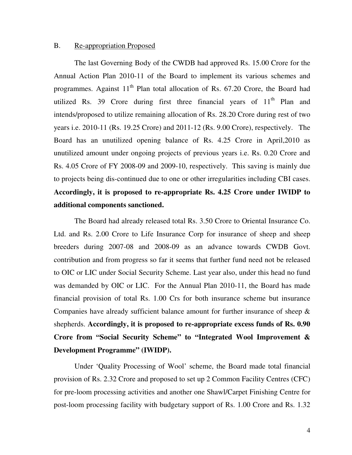#### B. Re-appropriation Proposed

The last Governing Body of the CWDB had approved Rs. 15.00 Crore for the Annual Action Plan 2010-11 of the Board to implement its various schemes and programmes. Against  $11<sup>th</sup>$  Plan total allocation of Rs. 67.20 Crore, the Board had utilized Rs. 39 Crore during first three financial years of  $11<sup>th</sup>$  Plan and intends/proposed to utilize remaining allocation of Rs. 28.20 Crore during rest of two years i.e. 2010-11 (Rs. 19.25 Crore) and 2011-12 (Rs. 9.00 Crore), respectively. The Board has an unutilized opening balance of Rs. 4.25 Crore in April,2010 as unutilized amount under ongoing projects of previous years i.e. Rs. 0.20 Crore and Rs. 4.05 Crore of FY 2008-09 and 2009-10, respectively. This saving is mainly due to projects being dis-continued due to one or other irregularities including CBI cases. **Accordingly, it is proposed to re-appropriate Rs. 4.25 Crore under IWIDP to additional components sanctioned.** 

 The Board had already released total Rs. 3.50 Crore to Oriental Insurance Co. Ltd. and Rs. 2.00 Crore to Life Insurance Corp for insurance of sheep and sheep breeders during 2007-08 and 2008-09 as an advance towards CWDB Govt. contribution and from progress so far it seems that further fund need not be released to OIC or LIC under Social Security Scheme. Last year also, under this head no fund was demanded by OIC or LIC. For the Annual Plan 2010-11, the Board has made financial provision of total Rs. 1.00 Crs for both insurance scheme but insurance Companies have already sufficient balance amount for further insurance of sheep & shepherds. **Accordingly, it is proposed to re-appropriate excess funds of Rs. 0.90 Crore from "Social Security Scheme" to "Integrated Wool Improvement & Development Programme" (IWIDP).**

 Under 'Quality Processing of Wool' scheme, the Board made total financial provision of Rs. 2.32 Crore and proposed to set up 2 Common Facility Centres (CFC) for pre-loom processing activities and another one Shawl/Carpet Finishing Centre for post-loom processing facility with budgetary support of Rs. 1.00 Crore and Rs. 1.32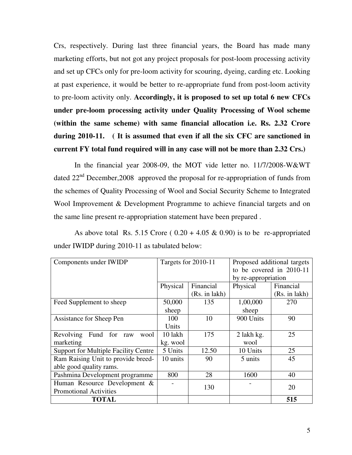Crs, respectively. During last three financial years, the Board has made many marketing efforts, but not got any project proposals for post-loom processing activity and set up CFCs only for pre-loom activity for scouring, dyeing, carding etc. Looking at past experience, it would be better to re-appropriate fund from post-loom activity to pre-loom activity only. **Accordingly, it is proposed to set up total 6 new CFCs under pre-loom processing activity under Quality Processing of Wool scheme (within the same scheme) with same financial allocation i.e. Rs. 2.32 Crore during 2010-11. ( It is assumed that even if all the six CFC are sanctioned in current FY total fund required will in any case will not be more than 2.32 Crs.)** 

 In the financial year 2008-09, the MOT vide letter no. 11/7/2008-W&WT dated  $22<sup>nd</sup>$  December, 2008 approved the proposal for re-appropriation of funds from the schemes of Quality Processing of Wool and Social Security Scheme to Integrated Wool Improvement & Development Programme to achieve financial targets and on the same line present re-appropriation statement have been prepared .

As above total Rs. 5.15 Crore ( $0.20 + 4.05 \& 0.90$ ) is to be re-appropriated under IWIDP during 2010-11 as tabulated below:

| Components under IWIDP                      | Targets for 2010-11 |               | Proposed additional targets |               |  |
|---------------------------------------------|---------------------|---------------|-----------------------------|---------------|--|
|                                             |                     |               | to be covered in 2010-11    |               |  |
|                                             |                     |               | by re-appropriation         |               |  |
|                                             | Physical            | Financial     | Physical                    | Financial     |  |
|                                             |                     | (Rs. in lakh) |                             | (Rs. in lakh) |  |
| Feed Supplement to sheep                    | 50,000              | 135           | 1,00,000                    | 270           |  |
|                                             | sheep               |               | sheep                       |               |  |
| Assistance for Sheep Pen                    | 100                 | 10            | 900 Units                   | 90            |  |
|                                             | Units               |               |                             |               |  |
| Fund for<br>Revolving<br>wool<br>raw        | 10 lakh             | 175           | 2 lakh kg.                  | 25            |  |
| marketing                                   | kg. wool            |               | wool                        |               |  |
| <b>Support for Multiple Facility Centre</b> | 5 Units             | 12.50         | 10 Units                    | 25            |  |
| Ram Raising Unit to provide breed-          | 10 units            | 90            | 5 units                     | 45            |  |
| able good quality rams.                     |                     |               |                             |               |  |
| Pashmina Development programme              | 800                 | 28            | 1600                        | 40            |  |
| Human Resource Development &                |                     | 130           |                             | 20            |  |
| <b>Promotional Activities</b>               |                     |               |                             |               |  |
| TOTAL                                       |                     |               |                             | 515           |  |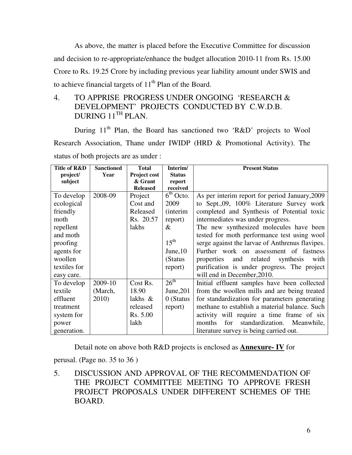As above, the matter is placed before the Executive Committee for discussion and decision to re-appropriate/enhance the budget allocation 2010-11 from Rs. 15.00 Crore to Rs. 19.25 Crore by including previous year liability amount under SWIS and to achieve financial targets of  $11<sup>th</sup>$  Plan of the Board.

# 4. TO APPRISE PROGRESS UNDER ONGOING 'RESEARCH & DEVELOPMENT' PROJECTS CONDUCTED BY C.W.D.B. DURING 11<sup>TH</sup> PLAN.

During 11<sup>th</sup> Plan, the Board has sanctioned two 'R&D' projects to Wool Research Association, Thane under IWIDP (HRD & Promotional Activity). The status of both projects are as under :

| Title of R&D | <b>Sanctioned</b> | <b>Total</b>    | Interim/                 | <b>Present Status</b>                           |
|--------------|-------------------|-----------------|--------------------------|-------------------------------------------------|
| project/     | Year              | Project cost    | <b>Status</b>            |                                                 |
| subject      |                   | & Grant         | report                   |                                                 |
|              |                   | <b>Released</b> | received                 |                                                 |
| To develop   | 2008-09           | Project         | $\overline{6^{th}$ Octo. | As per interim report for period January, 2009  |
| ecological   |                   | Cost and        | 2009                     | to Sept.,09, 100% Literature Survey work        |
| friendly     |                   | Released        | <i>(interim)</i>         | completed and Synthesis of Potential toxic      |
| moth         |                   | Rs. 20.57       | report)                  | intermediates was under progress.               |
| repellent    |                   | lakhs           | $\&$                     | The new synthesized molecules have been         |
| and moth     |                   |                 |                          | tested for moth performance test using wool     |
| proofing     |                   |                 | $15^{\text{th}}$         | serge against the larvae of Anthrenus flavipes. |
| agents for   |                   |                 | June, $10$               | Further work on assessment of fastness          |
| woollen      |                   |                 | (Status)                 | properties<br>and related<br>synthesis<br>with  |
| textiles for |                   |                 | report)                  | purification is under progress. The project     |
| easy care.   |                   |                 |                          | will end in December, 2010.                     |
| To develop   | 2009-10           | Cost Rs.        | $26^{\text{th}}$         | Initial effluent samples have been collected    |
| textile      | (March,           | 18.90           | June, $201$              | from the woollen mills and are being treated    |
| effluent     | 2010)             | lakhs $\&$      | 0 (Status                | for standardization for parameters generating   |
| treatment    |                   | released        | report)                  | methane to establish a material balance. Such   |
| system for   |                   | Rs. 5.00        |                          | activity will require a time frame of six       |
| power        |                   | lakh            |                          | standardization. Meanwhile,<br>months<br>for    |
| generation.  |                   |                 |                          | literature survey is being carried out.         |

Detail note on above both R&D projects is enclosed as **Annexure- IV** for

perusal. (Page no. 35 to 36 )

5. DISCUSSION AND APPROVAL OF THE RECOMMENDATION OF THE PROJECT COMMITTEE MEETING TO APPROVE FRESH PROJECT PROPOSALS UNDER DIFFERENT SCHEMES OF THE BOARD.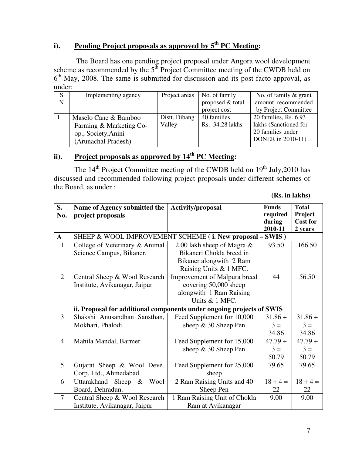# **i). Pending Project proposals as approved by 5th PC Meeting:**

 The Board has one pending project proposal under Angora wool development scheme as recommended by the  $5<sup>th</sup>$  Project Committee meeting of the CWDB held on 6<sup>th</sup> May, 2008. The same is submitted for discussion and its post facto approval, as under:

|   | Implementing agency     | Project areas | No. of family    | No. of family $\&$ grant |
|---|-------------------------|---------------|------------------|--------------------------|
| N |                         |               | proposed & total | amount recommended       |
|   |                         |               | project cost     | by Project Committee     |
|   | Maselo Cane & Bamboo    | Distt. Dibang | 40 families      | 20 families, Rs. 6.93    |
|   | Farming & Marketing Co- | Valley        | Rs. 34.28 lakhs  | lakhs (Sanctioned for    |
|   | op., Society, Anini     |               |                  | 20 families under        |
|   | (Arunachal Pradesh)     |               |                  | DONER in 2010-11)        |

# **ii). Project proposals as approved by 14th PC Meeting:**

The 14<sup>th</sup> Project Committee meeting of the CWDB held on 19<sup>th</sup> July,2010 has discussed and recommended following project proposals under different schemes of the Board, as under :

**(Rs. in lakhs)** 

| S.             | Name of Agency submitted the                                          | Activity/proposal             | <b>Funds</b> | <b>Total</b>    |
|----------------|-----------------------------------------------------------------------|-------------------------------|--------------|-----------------|
| No.            | project proposals                                                     |                               | required     | Project         |
|                |                                                                       |                               | during       | <b>Cost for</b> |
|                |                                                                       |                               | 2010-11      | 2 years         |
| $\mathbf{A}$   | SHEEP & WOOL IMPROVEMENT SCHEME (i. New proposal - SWIS)              |                               |              |                 |
| $\mathbf{1}$   | College of Veterinary & Animal                                        | 2.00 lakh sheep of Magra $\&$ | 93.50        | 166.50          |
|                | Science Campus, Bikaner.                                              | Bikaneri Chokla breed in      |              |                 |
|                |                                                                       | Bikaner alongwith 2 Ram       |              |                 |
|                |                                                                       | Raising Units & 1 MFC.        |              |                 |
| $\overline{2}$ | Central Sheep & Wool Research                                         | Improvement of Malpura breed  | 44           | 56.50           |
|                | Institute, Avikanagar, Jaipur                                         | covering 50,000 sheep         |              |                 |
|                |                                                                       | alongwith 1 Ram Raising       |              |                 |
|                |                                                                       | Units & 1 MFC.                |              |                 |
|                | ii. Proposal for additional components under ongoing projects of SWIS |                               |              |                 |
| 3              | Shakshi Anusandhan Sansthan,                                          | Feed Supplement for 10,000    | $31.86 +$    | $31.86 +$       |
|                | Mokhari, Phalodi                                                      | sheep $& 30$ Sheep Pen        | $3 =$        | $3 =$           |
|                |                                                                       |                               | 34.86        | 34.86           |
| $\overline{4}$ | Mahila Mandal, Barmer                                                 | Feed Supplement for 15,000    | $47.79 +$    | $47.79 +$       |
|                |                                                                       | sheep & 30 Sheep Pen          | $3 =$        | $3 =$           |
|                |                                                                       |                               | 50.79        | 50.79           |
| 5              | Gujarat Sheep & Wool Deve.                                            | Feed Supplement for 25,000    | 79.65        | 79.65           |
|                | Corp. Ltd., Ahmedabad.                                                | sheep                         |              |                 |
| 6              | Uttarakhand Sheep<br>Wool<br>$\&$                                     | 2 Ram Raising Units and 40    | $18 + 4 =$   | $18 + 4 =$      |
|                | Board, Dehradun.                                                      | Sheep Pen                     | 22           | 22              |
| $\overline{7}$ | Central Sheep & Wool Research                                         | 1 Ram Raising Unit of Chokla  | 9.00         | 9.00            |
|                | Institute, Avikanagar, Jaipur                                         | Ram at Avikanagar             |              |                 |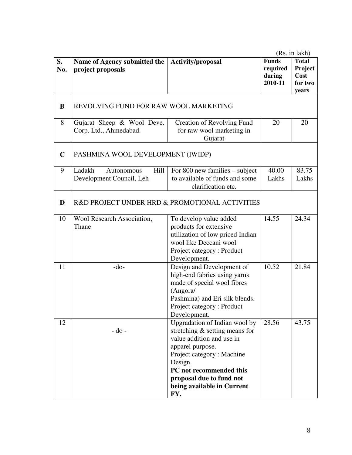| S.<br>No.   | Name of Agency submitted the<br>project proposals        | <b>Activity/proposal</b>                                                                                                                                                                                                                               | <b>Funds</b><br>required<br>during<br>2010-11 | <b>Total</b><br>Project<br>Cost<br>for two<br>years |
|-------------|----------------------------------------------------------|--------------------------------------------------------------------------------------------------------------------------------------------------------------------------------------------------------------------------------------------------------|-----------------------------------------------|-----------------------------------------------------|
| B           | REVOLVING FUND FOR RAW WOOL MARKETING                    |                                                                                                                                                                                                                                                        |                                               |                                                     |
| 8           | Gujarat Sheep & Wool Deve.<br>Corp. Ltd., Ahmedabad.     | <b>Creation of Revolving Fund</b><br>for raw wool marketing in<br>Gujarat                                                                                                                                                                              | 20                                            | 20                                                  |
| $\mathbf C$ | PASHMINA WOOL DEVELOPMENT (IWIDP)                        |                                                                                                                                                                                                                                                        |                                               |                                                     |
| 9           | Ladakh<br>Hill<br>Autonomous<br>Development Council, Leh | For 800 new families $-$ subject<br>to available of funds and some<br>clarification etc.                                                                                                                                                               | 40.00<br>Lakhs                                | 83.75<br>Lakhs                                      |
| D           | R&D PROJECT UNDER HRD & PROMOTIONAL ACTIVITIES           |                                                                                                                                                                                                                                                        |                                               |                                                     |
| 10          | Wool Research Association,<br>Thane                      | To develop value added<br>products for extensive<br>utilization of low priced Indian<br>wool like Deccani wool<br>Project category: Product<br>Development.                                                                                            | 14.55                                         | 24.34                                               |
| 11          | $-do-$                                                   | Design and Development of<br>high-end fabrics using yarns<br>made of special wool fibres<br>(Angora/<br>Pashmina) and Eri silk blends.<br>Project category: Product<br>Development.                                                                    | 10.52                                         | 21.84                                               |
| 12          | $-do$ -                                                  | Upgradation of Indian wool by<br>stretching $&$ setting means for<br>value addition and use in<br>apparel purpose.<br>Project category: Machine<br>Design.<br>PC not recommended this<br>proposal due to fund not<br>being available in Current<br>FY. | 28.56                                         | 43.75                                               |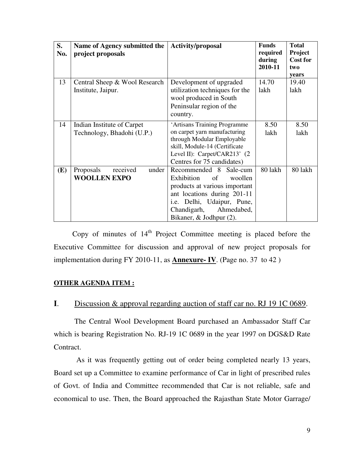| S.<br>No. | Name of Agency submitted the<br>project proposals        | <b>Activity/proposal</b>                                                                                                                                                                                       | <b>Funds</b><br>required<br>during<br>2010-11 | <b>Total</b><br><b>Project</b><br><b>Cost for</b><br>two |
|-----------|----------------------------------------------------------|----------------------------------------------------------------------------------------------------------------------------------------------------------------------------------------------------------------|-----------------------------------------------|----------------------------------------------------------|
|           |                                                          |                                                                                                                                                                                                                |                                               | years                                                    |
| 13        | Central Sheep & Wool Research<br>Institute, Jaipur.      | Development of upgraded<br>utilization techniques for the<br>wool produced in South<br>Peninsular region of the<br>country.                                                                                    | 14.70<br>lakh                                 | 19.40<br>lakh                                            |
| 14        | Indian Institute of Carpet<br>Technology, Bhadohi (U.P.) | 'Artisans Training Programme<br>on carpet yarn manufacturing<br>through Modular Employable<br>skill, Module-14 (Certificate<br>Level II): Carpet/CAR213' (2)<br>Centres for 75 candidates)                     | 8.50<br>lakh                                  | 8.50<br>lakh                                             |
| (E)       | Proposals<br>under<br>received<br><b>WOOLLEN EXPO</b>    | Recommended 8<br>Sale-cum<br>Exhibition<br>of<br>woollen<br>products at various important<br>ant locations during 201-11<br>i.e. Delhi, Udaipur, Pune,<br>Chandigarh,<br>Ahmedabed,<br>Bikaner, & Jodhpur (2). | 80 lakh                                       | 80 lakh                                                  |

Copy of minutes of  $14<sup>th</sup>$  Project Committee meeting is placed before the Executive Committee for discussion and approval of new project proposals for implementation during FY 2010-11, as **Annexure- IV**. (Page no. 37 to 42 )

## **OTHER AGENDA ITEM :**

## **I**. Discussion & approval regarding auction of staff car no. RJ 19 1C 0689.

The Central Wool Development Board purchased an Ambassador Staff Car which is bearing Registration No. RJ-19 1C 0689 in the year 1997 on DGS&D Rate Contract.

 As it was frequently getting out of order being completed nearly 13 years, Board set up a Committee to examine performance of Car in light of prescribed rules of Govt. of India and Committee recommended that Car is not reliable, safe and economical to use. Then, the Board approached the Rajasthan State Motor Garrage/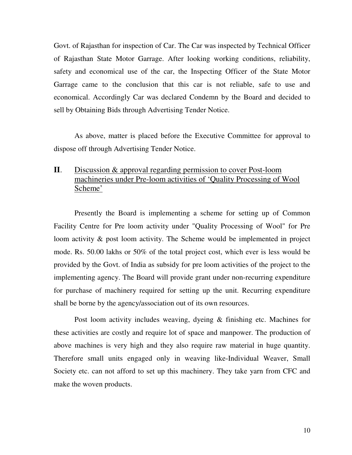Govt. of Rajasthan for inspection of Car. The Car was inspected by Technical Officer of Rajasthan State Motor Garrage. After looking working conditions, reliability, safety and economical use of the car, the Inspecting Officer of the State Motor Garrage came to the conclusion that this car is not reliable, safe to use and economical. Accordingly Car was declared Condemn by the Board and decided to sell by Obtaining Bids through Advertising Tender Notice.

As above, matter is placed before the Executive Committee for approval to dispose off through Advertising Tender Notice.

# **II**. Discussion & approval regarding permission to cover Post-loom machineries under Pre-loom activities of 'Quality Processing of Wool Scheme'

Presently the Board is implementing a scheme for setting up of Common Facility Centre for Pre loom activity under "Quality Processing of Wool" for Pre loom activity & post loom activity. The Scheme would be implemented in project mode. Rs. 50.00 lakhs or 50% of the total project cost, which ever is less would be provided by the Govt. of India as subsidy for pre loom activities of the project to the implementing agency. The Board will provide grant under non-recurring expenditure for purchase of machinery required for setting up the unit. Recurring expenditure shall be borne by the agency/association out of its own resources.

Post loom activity includes weaving, dyeing & finishing etc. Machines for these activities are costly and require lot of space and manpower. The production of above machines is very high and they also require raw material in huge quantity. Therefore small units engaged only in weaving like-Individual Weaver, Small Society etc. can not afford to set up this machinery. They take yarn from CFC and make the woven products.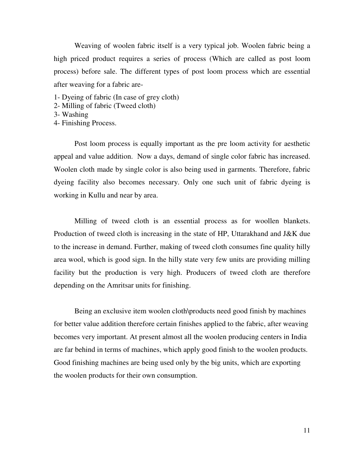Weaving of woolen fabric itself is a very typical job. Woolen fabric being a high priced product requires a series of process (Which are called as post loom process) before sale. The different types of post loom process which are essential after weaving for a fabric are-

- 1- Dyeing of fabric (In case of grey cloth)
- 2- Milling of fabric (Tweed cloth)
- 3- Washing
- 4- Finishing Process.

Post loom process is equally important as the pre loom activity for aesthetic appeal and value addition. Now a days, demand of single color fabric has increased. Woolen cloth made by single color is also being used in garments. Therefore, fabric dyeing facility also becomes necessary. Only one such unit of fabric dyeing is working in Kullu and near by area.

Milling of tweed cloth is an essential process as for woollen blankets. Production of tweed cloth is increasing in the state of HP, Uttarakhand and J&K due to the increase in demand. Further, making of tweed cloth consumes fine quality hilly area wool, which is good sign. In the hilly state very few units are providing milling facility but the production is very high. Producers of tweed cloth are therefore depending on the Amritsar units for finishing.

Being an exclusive item woolen cloth\products need good finish by machines for better value addition therefore certain finishes applied to the fabric, after weaving becomes very important. At present almost all the woolen producing centers in India are far behind in terms of machines, which apply good finish to the woolen products. Good finishing machines are being used only by the big units, which are exporting the woolen products for their own consumption.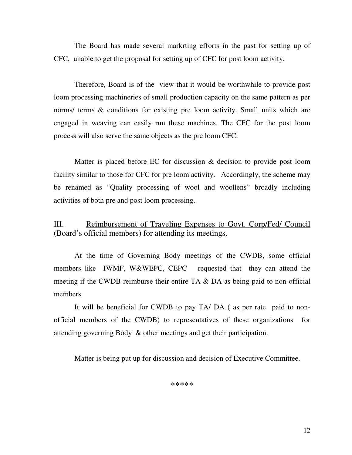The Board has made several markrting efforts in the past for setting up of CFC, unable to get the proposal for setting up of CFC for post loom activity.

Therefore, Board is of the view that it would be worthwhile to provide post loom processing machineries of small production capacity on the same pattern as per norms/ terms & conditions for existing pre loom activity. Small units which are engaged in weaving can easily run these machines. The CFC for the post loom process will also serve the same objects as the pre loom CFC.

Matter is placed before EC for discussion & decision to provide post loom facility similar to those for CFC for pre loom activity. Accordingly, the scheme may be renamed as "Quality processing of wool and woollens" broadly including activities of both pre and post loom processing.

# III. Reimbursement of Traveling Expenses to Govt. Corp/Fed/ Council (Board's official members) for attending its meetings.

 At the time of Governing Body meetings of the CWDB, some official members like IWMF, W&WEPC, CEPC requested that they can attend the meeting if the CWDB reimburse their entire TA & DA as being paid to non-official members.

It will be beneficial for CWDB to pay TA/ DA ( as per rate paid to nonofficial members of the CWDB) to representatives of these organizations for attending governing Body & other meetings and get their participation.

Matter is being put up for discussion and decision of Executive Committee.

\*\*\*\*\*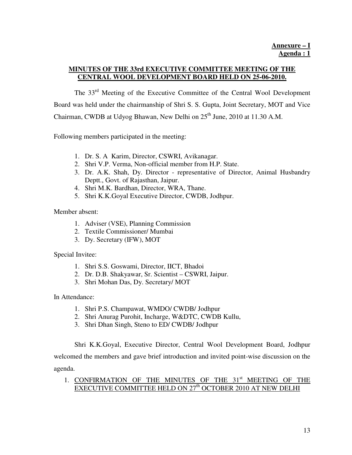## **MINUTES OF THE 33rd EXECUTIVE COMMITTEE MEETING OF THE CENTRAL WOOL DEVELOPMENT BOARD HELD ON 25-06-2010.**

 The 33rd Meeting of the Executive Committee of the Central Wool Development Board was held under the chairmanship of Shri S. S. Gupta, Joint Secretary, MOT and Vice Chairman, CWDB at Udyog Bhawan, New Delhi on 25<sup>th</sup> June, 2010 at 11.30 A.M.

Following members participated in the meeting:

- 1. Dr. S. A Karim, Director, CSWRI, Avikanagar.
- 2. Shri V.P. Verma, Non-official member from H.P. State.
- 3. Dr. A.K. Shah, Dy. Director representative of Director, Animal Husbandry Deptt., Govt. of Rajasthan, Jaipur.
- 4. Shri M.K. Bardhan, Director, WRA, Thane.
- 5. Shri K.K.Goyal Executive Director, CWDB, Jodhpur.

Member absent:

- 1. Adviser (VSE), Planning Commission
- 2. Textile Commissioner/ Mumbai
- 3. Dy. Secretary (IFW), MOT

Special Invitee:

- 1. Shri S.S. Goswami, Director, IICT, Bhadoi
- 2. Dr. D.B. Shakyawar, Sr. Scientist CSWRI, Jaipur.
- 3. Shri Mohan Das, Dy. Secretary/ MOT

In Attendance:

- 1. Shri P.S. Champawat, WMDO/ CWDB/ Jodhpur
- 2. Shri Anurag Purohit, Incharge, W&DTC, CWDB Kullu,
- 3. Shri Dhan Singh, Steno to ED/ CWDB/ Jodhpur

Shri K.K.Goyal, Executive Director, Central Wool Development Board, Jodhpur welcomed the members and gave brief introduction and invited point-wise discussion on the agenda.

## 1. CONFIRMATION OF THE MINUTES OF THE 31<sup>st</sup> MEETING OF THE EXECUTIVE COMMITTEE HELD ON 27<sup>th</sup> OCTOBER 2010 AT NEW DELHI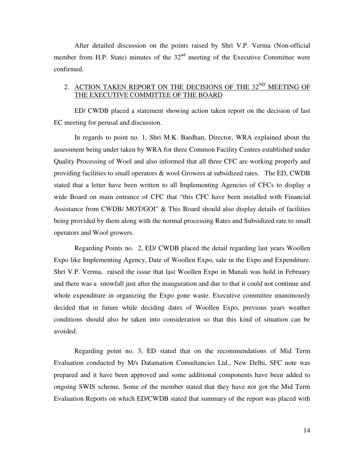After detailed discussion on the points raised by Shri V.P. Verma (Non-official member from H.P. State) minutes of the  $32<sup>nd</sup>$  meeting of the Executive Committee were confirmed.

### 2. ACTION TAKEN REPORT ON THE DECISIONS OF THE 32<sup>ND</sup> MEETING OF THE EXECUTIVE COMMITTEE OF THE BOARD

 ED/ CWDB placed a statement showing action taken report on the decision of last EC meeting for perusal and discussion.

 In regards to point no. 1, Shri M.K. Bardhan, Director, WRA explained about the assessment being under taken by WRA for three Common Facility Centres established under Quality Processing of Wool and also informed that all three CFC are working properly and providing facilities to small operators & wool Growers at subsidized rates. The ED, CWDB stated that a letter have been written to all Implementing Agencies of CFCs to display a wide Board on main entrance of CFC that "this CFC have been installed with Financial Assistance from CWDB/ MOT/GOI" & This Board should also display details of facilities being provided by them along with the normal processing Rates and Subsidized rate to small operators and Wool growers.

 Regarding Points no. 2, ED/ CWDB placed the detail regarding last years Woollen Expo like Implementing Agency, Date of Woollen Expo, sale in the Expo and Expenditure. Shri V.P. Verma, raised the issue that last Woollen Expo in Manali was hold in February and there was a snowfall just after the inauguration and due to that it could not continue and whole expenditure in organizing the Expo gone waste. Executive committee unanimously decided that in future while deciding dates of Woollen Expo, previous years weather conditions should also be taken into consideration so that this kind of situation can be avoided.

 Regarding point no. 3, ED stated that on the recommendations of Mid Term Evaluation conducted by M/s Datamation Consultancies Ltd., New Delhi, SFC note was prepared and it have been approved and some additional components have been added to ongoing SWIS scheme. Some of the member stated that they have not got the Mid Term Evaluation Reports on which ED/CWDB stated that summary of the report was placed with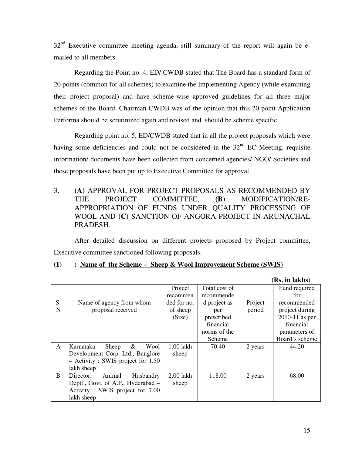$32<sup>nd</sup>$  Executive committee meeting agenda, still summary of the report will again be emailed to all members.

Regarding the Point no. 4, ED/ CWDB stated that The Board has a standard form of 20 points (common for all schemes) to examine the Implementing Agency (while examining their project proposal) and have scheme-wise approved guidelines for all three major schemes of the Board. Chairman CWDB was of the opinion that this 20 point Application Performa should be scrutinized again and revised and should be scheme specific.

 Regarding point no. 5, ED/CWDB stated that in all the project proposals which were having some deficiencies and could not be considered in the  $32<sup>nd</sup>$  EC Meeting, requisite information/ documents have been collected from concerned agencies/ NGO/ Societies and these proposals have been put up to Executive Committee for approval.

3. **(A)** APPROVAL FOR PROJECT PROPOSALS AS RECOMMENDED BY THE PROJECT COMMITTEE, **(B)** MODIFICATION/RE-APPROPRIATION OF FUNDS UNDER QUALITY PROCESSING OF WOOL AND **(C)** SANCTION OF ANGORA PROJECT IN ARUNACHAL PRADESH.

After detailed discussion on different projects proposed by Project committee, Executive committee sanctioned following proposals.

**(1) : Name of the Scheme – Sheep & Wool Improvement Scheme (SWIS)**

|    |                                      |             |               |         | (Rs. in lakhs)   |
|----|--------------------------------------|-------------|---------------|---------|------------------|
|    |                                      | Project     | Total cost of |         | Fund required    |
|    |                                      | recommen    | recommende    |         | for              |
| S. | Name of agency from whom             | ded for no. | d project as  | Project | recommended      |
| N  | proposal received                    | of sheep    | per           | period  | project during   |
|    |                                      | (Size)      | prescribed    |         | $2010-11$ as per |
|    |                                      |             | financial     |         | financial        |
|    |                                      |             | norms of the  |         | parameters of    |
|    |                                      |             | Scheme        |         | Board's scheme   |
| A  | &<br>Sheep<br>Wool<br>Karnataka      | 1.00 lakh   | 70.40         | 2 years | 44.20            |
|    | Development Corp. Ltd., Banglore     | sheep       |               |         |                  |
|    | $-$ Activity : SWIS project for 1.50 |             |               |         |                  |
|    | lakh sheep                           |             |               |         |                  |
| B  | Animal<br>Husbandry<br>Director,     | 2.00 lakh   | 118.00        | 2 years | 68.00            |
|    | Deptt., Govt. of A.P., Hyderabad –   | sheep       |               |         |                  |
|    | Activity: SWIS project for 7.00      |             |               |         |                  |
|    | lakh sheep                           |             |               |         |                  |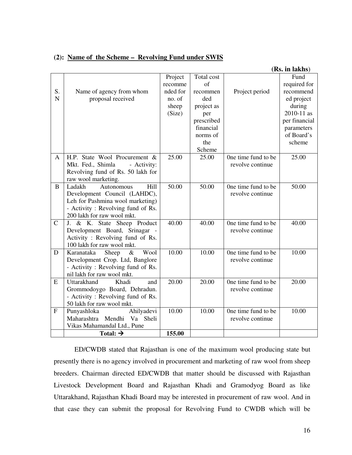|  |  | (2): Name of the Scheme – Revolving Fund under SWIS |  |
|--|--|-----------------------------------------------------|--|
|  |  |                                                     |  |

|              |                                                                       |          |            |                     | (Rs. in lakhs) |
|--------------|-----------------------------------------------------------------------|----------|------------|---------------------|----------------|
|              |                                                                       | Project  | Total cost |                     | Fund           |
|              |                                                                       | recomme  | of         |                     | required for   |
| S.           | Name of agency from whom                                              | nded for | recommen   | Project period      | recommend      |
| $\mathbf N$  | proposal received                                                     | no. of   | ded        |                     | ed project     |
|              |                                                                       | sheep    | project as |                     | during         |
|              |                                                                       | (Size)   | per        |                     | 2010-11 as     |
|              |                                                                       |          | prescribed |                     | per financial  |
|              |                                                                       |          | financial  |                     | parameters     |
|              |                                                                       |          | norms of   |                     | of Board's     |
|              |                                                                       |          | the        |                     | scheme         |
|              |                                                                       |          | Scheme     |                     |                |
| A            | H.P. State Wool Procurement &                                         | 25.00    | 25.00      | One time fund to be | 25.00          |
|              | Mkt. Fed., Shimla<br>- Activity:                                      |          |            | revolve continue    |                |
|              | Revolving fund of Rs. 50 lakh for                                     |          |            |                     |                |
|              | raw wool marketing.                                                   |          |            |                     |                |
| B            | Ladakh<br>Autonomous<br>Hill                                          | 50.00    | 50.00      | One time fund to be | 50.00          |
|              | Development Council (LAHDC),                                          |          |            | revolve continue    |                |
|              | Leh for Pashmina wool marketing)<br>- Activity: Revolving fund of Rs. |          |            |                     |                |
|              | 200 lakh for raw wool mkt.                                            |          |            |                     |                |
| $\mathbf C$  | J. & K. State Sheep Product                                           | 40.00    | 40.00      | One time fund to be | 40.00          |
|              | Development Board, Srinagar -                                         |          |            | revolve continue    |                |
|              | Activity: Revolving fund of Rs.                                       |          |            |                     |                |
|              | 100 lakh for raw wool mkt.                                            |          |            |                     |                |
| D            | Karanataka<br>Sheep<br>$\&$<br>Wool                                   | 10.00    | 10.00      | One time fund to be | 10.00          |
|              | Development Crop. Ltd, Banglore                                       |          |            | revolve continue    |                |
|              | - Activity: Revolving fund of Rs.                                     |          |            |                     |                |
|              | nil lakh for raw wool mkt.                                            |          |            |                     |                |
| E            | Uttarakhand<br>Khadi<br>and                                           | 20.00    | 20.00      | One time fund to be | 20.00          |
|              | Grommodoygo Board, Dehradun.                                          |          |            | revolve continue    |                |
|              | - Activity: Revolving fund of Rs.                                     |          |            |                     |                |
|              | 50 lakh for raw wool mkt.                                             |          |            |                     |                |
| $\mathbf{F}$ | Ahilyadevi<br>Punyashloka                                             | 10.00    | 10.00      | One time fund to be | 10.00          |
|              | Va Sheli<br>Maharashtra Mendhi                                        |          |            | revolve continue    |                |
|              | Vikas Mahamandal Ltd., Pune                                           |          |            |                     |                |
|              | Total: $\rightarrow$                                                  | 155.00   |            |                     |                |

ED/CWDB stated that Rajasthan is one of the maximum wool producing state but presently there is no agency involved in procurement and marketing of raw wool from sheep breeders. Chairman directed ED/CWDB that matter should be discussed with Rajasthan Livestock Development Board and Rajasthan Khadi and Gramodyog Board as like Uttarakhand, Rajasthan Khadi Board may be interested in procurement of raw wool. And in that case they can submit the proposal for Revolving Fund to CWDB which will be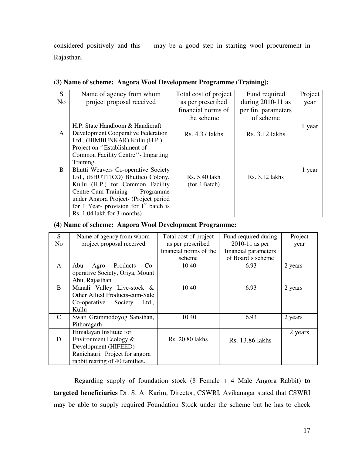considered positively and this may be a good step in starting wool procurement in Rajasthan.

| S              | Name of agency from whom                  | Total cost of project | Fund required       | Project |
|----------------|-------------------------------------------|-----------------------|---------------------|---------|
| N <sub>o</sub> | project proposal received                 | as per prescribed     | during $2010-11$ as | year    |
|                |                                           | financial norms of    | per fin. parameters |         |
|                |                                           | the scheme            | of scheme           |         |
|                | H.P. State Handloom & Handicraft          |                       |                     | 1 year  |
| A              | <b>Development Cooperative Federation</b> | Rs. 4.37 lakhs        | Rs. 3.12 lakhs      |         |
|                | Ltd., (HIMBUNKAR) Kullu (H.P.):           |                       |                     |         |
|                | Project on "Establishment of              |                       |                     |         |
|                | Common Facility Centre'' - Imparting      |                       |                     |         |
|                | Training.                                 |                       |                     |         |
| B              | Bhutti Weavers Co-operative Society       |                       |                     | 1 year  |
|                | Ltd., (BHUTTICO) Bhuttico Colony,         | Rs. 5.40 lakh         | Rs. 3.12 lakhs      |         |
|                | Kullu (H.P.) for Common Facility          | (for 4 Batch)         |                     |         |
|                | Centre-Cum-Training<br>Programme          |                       |                     |         |
|                | under Angora Project- (Project period     |                       |                     |         |
|                | for 1 Year- provision for $1st$ batch is  |                       |                     |         |
|                | Rs. 1.04 lakh for 3 months)               |                       |                     |         |

#### **(3) Name of scheme: Angora Wool Development Programme (Training):**

#### **(4) Name of scheme: Angora Wool Development Programme:**

| S              | Name of agency from whom         | Total cost of project  | Fund required during | Project |
|----------------|----------------------------------|------------------------|----------------------|---------|
| N <sub>o</sub> | project proposal received        | as per prescribed      | $2010-11$ as per     | year    |
|                |                                  | financial norms of the | financial parameters |         |
|                |                                  | scheme                 | of Board's scheme    |         |
| A              | Products<br>Abu<br>Agro<br>$Co-$ | 10.40                  | 6.93                 | 2 years |
|                | operative Society, Oriya, Mount  |                        |                      |         |
|                | Abu, Rajasthan                   |                        |                      |         |
| <sub>B</sub>   | Manali Valley Live-stock &       | 10.40                  | 6.93                 | 2 years |
|                | Other Allied Products-cum-Sale   |                        |                      |         |
|                | Society<br>Co-operative<br>Ltd., |                        |                      |         |
|                | Kullu                            |                        |                      |         |
| $\mathcal{C}$  | Swati Grammodoyog Sansthan,      | 10.40                  | 6.93                 | 2 years |
|                | Pithoragarh                      |                        |                      |         |
|                | Himalayan Institute for          |                        |                      | 2 years |
| D              | Environment Ecology $&$          | Rs. 20.80 lakhs        | Rs. 13.86 lakhs      |         |
|                | Development (HIFEED)             |                        |                      |         |
|                | Ranichauri. Project for angora   |                        |                      |         |
|                | rabbit rearing of 40 families.   |                        |                      |         |

Regarding supply of foundation stock (8 Female + 4 Male Angora Rabbit) **to targeted beneficiaries** Dr. S. A Karim, Director, CSWRI, Avikanagar stated that CSWRI may be able to supply required Foundation Stock under the scheme but he has to check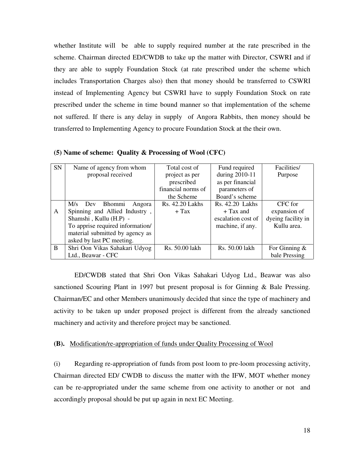whether Institute will be able to supply required number at the rate prescribed in the scheme. Chairman directed ED/CWDB to take up the matter with Director, CSWRI and if they are able to supply Foundation Stock (at rate prescribed under the scheme which includes Transportation Charges also) then that money should be transferred to CSWRI instead of Implementing Agency but CSWRI have to supply Foundation Stock on rate prescribed under the scheme in time bound manner so that implementation of the scheme not suffered. If there is any delay in supply of Angora Rabbits, then money should be transferred to Implementing Agency to procure Foundation Stock at the their own.

| <b>SN</b> | Name of agency from whom         | Total cost of      | Fund required      | Facilities/        |
|-----------|----------------------------------|--------------------|--------------------|--------------------|
|           | proposal received                | project as per     | during 2010-11     | Purpose            |
|           |                                  | prescribed         | as per financial   |                    |
|           |                                  | financial norms of | parameters of      |                    |
|           |                                  | the Scheme         | Board's scheme     |                    |
|           | M/s<br>Bhommi<br>Dev<br>Angora   | Rs. 42.20 Lakhs    | Rs. 42.20 Lakhs    | CFC for            |
| A         | Spinning and Allied Industry,    | $+$ Tax            | $+$ Tax and        | expansion of       |
|           | Shamshi, Kullu (H.P) -           |                    | escalation cost of | dyeing facility in |
|           | To apprise required information/ |                    | machine, if any.   | Kullu area.        |
|           | material submitted by agency as  |                    |                    |                    |
|           | asked by last PC meeting.        |                    |                    |                    |
| B         | Shri Oon Vikas Sahakari Udyog    | Rs. 50.00 lakh     | Rs. 50.00 lakh     | For Ginning $\&$   |
|           | Ltd., Beawar - CFC               |                    |                    | bale Pressing      |

**(5) Name of scheme: Quality & Processing of Wool (CFC)** 

ED/CWDB stated that Shri Oon Vikas Sahakari Udyog Ltd., Beawar was also sanctioned Scouring Plant in 1997 but present proposal is for Ginning & Bale Pressing. Chairman/EC and other Members unanimously decided that since the type of machinery and activity to be taken up under proposed project is different from the already sanctioned machinery and activity and therefore project may be sanctioned.

#### **(B).** Modification/re-appropriation of funds under Quality Processing of Wool

(i) Regarding re-appropriation of funds from post loom to pre-loom processing activity, Chairman directed ED/ CWDB to discuss the matter with the IFW, MOT whether money can be re-appropriated under the same scheme from one activity to another or not and accordingly proposal should be put up again in next EC Meeting.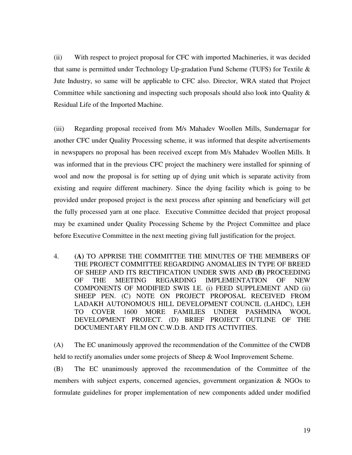(ii) With respect to project proposal for CFC with imported Machineries, it was decided that same is permitted under Technology Up-gradation Fund Scheme (TUFS) for Textile & Jute Industry, so same will be applicable to CFC also. Director, WRA stated that Project Committee while sanctioning and inspecting such proposals should also look into Quality & Residual Life of the Imported Machine.

(iii) Regarding proposal received from M/s Mahadev Woollen Mills, Sundernagar for another CFC under Quality Processing scheme, it was informed that despite advertisements in newspapers no proposal has been received except from M/s Mahadev Woollen Mills. It was informed that in the previous CFC project the machinery were installed for spinning of wool and now the proposal is for setting up of dying unit which is separate activity from existing and require different machinery. Since the dying facility which is going to be provided under proposed project is the next process after spinning and beneficiary will get the fully processed yarn at one place. Executive Committee decided that project proposal may be examined under Quality Processing Scheme by the Project Committee and place before Executive Committee in the next meeting giving full justification for the project.

4. **(A)** TO APPRISE THE COMMITTEE THE MINUTES OF THE MEMBERS OF THE PROJECT COMMITTEE REGARDING ANOMALIES IN TYPE OF BREED OF SHEEP AND ITS RECTIFICATION UNDER SWIS AND **(B)** PROCEEDING OF THE MEETING REGARDING IMPLEMENTATION OF NEW COMPONENTS OF MODIFIED SWIS I.E. (i) FEED SUPPLEMENT AND (ii) SHEEP PEN. (C) NOTE ON PROJECT PROPOSAL RECEIVED FROM LADAKH AUTONOMOUS HILL DEVELOPMENT COUNCIL (LAHDC), LEH TO COVER 1600 MORE FAMILIES UNDER PASHMINA WOOL DEVELOPMENT PROJECT. (D) BRIEF PROJECT OUTLINE OF THE DOCUMENTARY FILM ON C.W.D.B. AND ITS ACTIVITIES.

(A) The EC unanimously approved the recommendation of the Committee of the CWDB held to rectify anomalies under some projects of Sheep & Wool Improvement Scheme.

(B)The EC unanimously approved the recommendation of the Committee of the members with subject experts, concerned agencies, government organization & NGOs to formulate guidelines for proper implementation of new components added under modified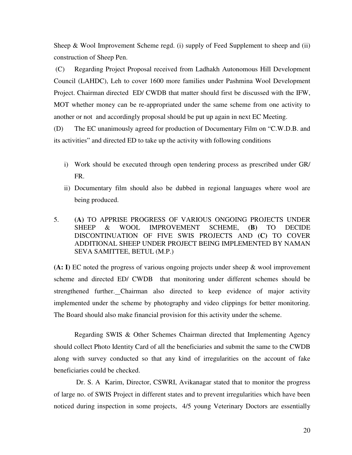Sheep & Wool Improvement Scheme regd. (i) supply of Feed Supplement to sheep and (ii) construction of Sheep Pen.

 (C) Regarding Project Proposal received from Ladhakh Autonomous Hill Development Council (LAHDC), Leh to cover 1600 more families under Pashmina Wool Development Project. Chairman directed ED/ CWDB that matter should first be discussed with the IFW, MOT whether money can be re-appropriated under the same scheme from one activity to another or not and accordingly proposal should be put up again in next EC Meeting.

(D) The EC unanimously agreed for production of Documentary Film on "C.W.D.B. and its activities" and directed ED to take up the activity with following conditions

- i) Work should be executed through open tendering process as prescribed under GR/ FR.
- ii) Documentary film should also be dubbed in regional languages where wool are being produced.
- 5. **(A)** TO APPRISE PROGRESS OF VARIOUS ONGOING PROJECTS UNDER SHEEP & WOOL IMPROVEMENT SCHEME, **(B)** TO DECIDE DISCONTINUATION OF FIVE SWIS PROJECTS AND **(C)** TO COVER ADDITIONAL SHEEP UNDER PROJECT BEING IMPLEMENTED BY NAMAN SEVA SAMITTEE, BETUL (M.P.)

**(A: I)** EC noted the progress of various ongoing projects under sheep & wool improvement scheme and directed ED/ CWDB that monitoring under different schemes should be strengthened further. Chairman also directed to keep evidence of major activity implemented under the scheme by photography and video clippings for better monitoring. The Board should also make financial provision for this activity under the scheme.

Regarding SWIS & Other Schemes Chairman directed that Implementing Agency should collect Photo Identity Card of all the beneficiaries and submit the same to the CWDB along with survey conducted so that any kind of irregularities on the account of fake beneficiaries could be checked.

 Dr. S. A Karim, Director, CSWRI, Avikanagar stated that to monitor the progress of large no. of SWIS Project in different states and to prevent irregularities which have been noticed during inspection in some projects, 4/5 young Veterinary Doctors are essentially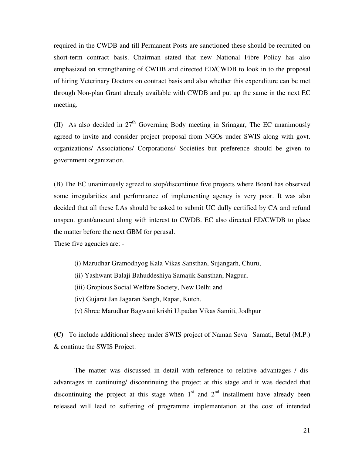required in the CWDB and till Permanent Posts are sanctioned these should be recruited on short-term contract basis. Chairman stated that new National Fibre Policy has also emphasized on strengthening of CWDB and directed ED/CWDB to look in to the proposal of hiring Veterinary Doctors on contract basis and also whether this expenditure can be met through Non-plan Grant already available with CWDB and put up the same in the next EC meeting.

(II) As also decided in  $27<sup>th</sup>$  Governing Body meeting in Srinagar, The EC unanimously agreed to invite and consider project proposal from NGOs under SWIS along with govt. organizations/ Associations/ Corporations/ Societies but preference should be given to government organization.

(B) The EC unanimously agreed to stop/discontinue five projects where Board has observed some irregularities and performance of implementing agency is very poor. It was also decided that all these I.As should be asked to submit UC dully certified by CA and refund unspent grant/amount along with interest to CWDB. EC also directed ED/CWDB to place the matter before the next GBM for perusal.

These five agencies are: -

- (i) Marudhar Gramodhyog Kala Vikas Sansthan, Sujangarh, Churu,
- (ii) Yashwant Balaji Bahuddeshiya Samajik Sansthan, Nagpur,
- (iii) Gropious Social Welfare Society, New Delhi and
- (iv) Gujarat Jan Jagaran Sangh, Rapar, Kutch.
- (v) Shree Marudhar Bagwani krishi Utpadan Vikas Samiti, Jodhpur

**(C)** To include additional sheep under SWIS project of Naman Seva Samati, Betul (M.P.) & continue the SWIS Project.

The matter was discussed in detail with reference to relative advantages / disadvantages in continuing/ discontinuing the project at this stage and it was decided that discontinuing the project at this stage when  $1<sup>st</sup>$  and  $2<sup>nd</sup>$  installment have already been released will lead to suffering of programme implementation at the cost of intended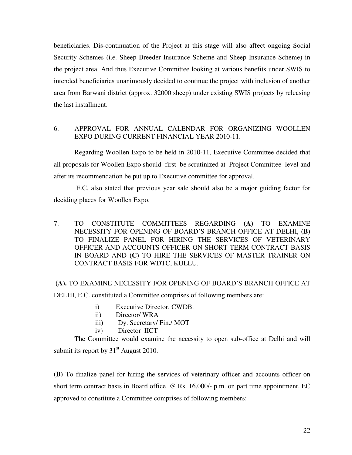beneficiaries. Dis-continuation of the Project at this stage will also affect ongoing Social Security Schemes (i.e. Sheep Breeder Insurance Scheme and Sheep Insurance Scheme) in the project area. And thus Executive Committee looking at various benefits under SWIS to intended beneficiaries unanimously decided to continue the project with inclusion of another area from Barwani district (approx. 32000 sheep) under existing SWIS projects by releasing the last installment.

#### 6. APPROVAL FOR ANNUAL CALENDAR FOR ORGANIZING WOOLLEN EXPO DURING CURRENT FINANCIAL YEAR 2010-11.

Regarding Woollen Expo to be held in 2010-11, Executive Committee decided that all proposals for Woollen Expo should first be scrutinized at Project Committee level and after its recommendation be put up to Executive committee for approval.

 E.C. also stated that previous year sale should also be a major guiding factor for deciding places for Woollen Expo.

7. TO CONSTITUTE COMMITTEES REGARDING **(A)** TO EXAMINE NECESSITY FOR OPENING OF BOARD'S BRANCH OFFICE AT DELHI, **(B)** TO FINALIZE PANEL FOR HIRING THE SERVICES OF VETERINARY OFFICER AND ACCOUNTS OFFICER ON SHORT TERM CONTRACT BASIS IN BOARD AND **(C)** TO HIRE THE SERVICES OF MASTER TRAINER ON CONTRACT BASIS FOR WDTC, KULLU.

### **(A).** TO EXAMINE NECESSITY FOR OPENING OF BOARD'S BRANCH OFFICE AT

DELHI, E.C. constituted a Committee comprises of following members are:

- i) Executive Director, CWDB.
- ii) Director/ WRA
- iii) Dy. Secretary/ Fin./ MOT
- iv) Director IICT

 The Committee would examine the necessity to open sub-office at Delhi and will submit its report by  $31<sup>st</sup>$  August 2010.

**(B)** To finalize panel for hiring the services of veterinary officer and accounts officer on short term contract basis in Board office @ Rs. 16,000/- p.m. on part time appointment, EC approved to constitute a Committee comprises of following members: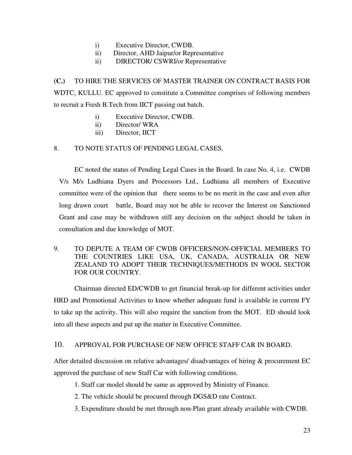- i) Executive Director, CWDB.
- ii) Director, AHD Jaipur/or Representative
- ii) DIRECTOR/ CSWRI/or Representative

**(C.)** TO HIRE THE SERVICES OF MASTER TRAINER ON CONTRACT BASIS FOR WDTC, KULLU. EC approved to constitute a Committee comprises of following members to recruit a Fresh B.Tech from IICT passing out batch.

- i) Executive Director, CWDB.
- ii) Director/ WRA
- iii) Director, IICT

#### 8. TO NOTE STATUS OF PENDING LEGAL CASES.

 EC noted the status of Pending Legal Cases in the Board. In case No. 4, i.e. CWDB V/s M/s Ludhiana Dyers and Processors Ltd., Ludhiana all members of Executive committee were of the opinion that there seems to be no merit in the case and even after long drawn court battle, Board may not be able to recover the Interest on Sanctioned Grant and case may be withdrawn still any decision on the subject should be taken in consultation and due knowledge of MOT.

9. TO DEPUTE A TEAM OF CWDB OFFICERS/NON-OFFICIAL MEMBERS TO THE COUNTRIES LIKE USA, UK, CANADA, AUSTRALIA OR NEW ZEALAND TO ADOPT THEIR TECHNIQUES/METHODS IN WOOL SECTOR FOR OUR COUNTRY.

Chairman directed ED/CWDB to get financial break-up for different activities under HRD and Promotional Activities to know whether adequate fund is available in current FY to take up the activity. This will also require the sanction from the MOT. ED should look into all these aspects and put up the matter in Executive Committee.

#### 10. APPROVAL FOR PURCHASE OF NEW OFFICE STAFF CAR IN BOARD.

After detailed discussion on relative advantages/ disadvantages of hiring & procurement EC approved the purchase of new Staff Car with following conditions.

- 1. Staff car model should be same as approved by Ministry of Finance.
- 2. The vehicle should be procured through DGS&D rate Contract.
- 3. Expenditure should be met through non-Plan grant already available with CWDB.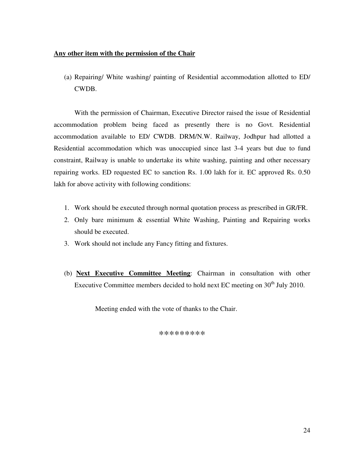#### **Any other item with the permission of the Chair**

(a) Repairing/ White washing/ painting of Residential accommodation allotted to ED/ CWDB.

With the permission of Chairman, Executive Director raised the issue of Residential accommodation problem being faced as presently there is no Govt. Residential accommodation available to ED/ CWDB. DRM/N.W. Railway, Jodhpur had allotted a Residential accommodation which was unoccupied since last 3-4 years but due to fund constraint, Railway is unable to undertake its white washing, painting and other necessary repairing works. ED requested EC to sanction Rs. 1.00 lakh for it. EC approved Rs. 0.50 lakh for above activity with following conditions:

- 1. Work should be executed through normal quotation process as prescribed in GR/FR.
- 2. Only bare minimum & essential White Washing, Painting and Repairing works should be executed.
- 3. Work should not include any Fancy fitting and fixtures.
- (b) **Next Executive Committee Meeting**: Chairman in consultation with other Executive Committee members decided to hold next EC meeting on  $30<sup>th</sup>$  July 2010.

Meeting ended with the vote of thanks to the Chair.

\*\*\*\*\*\*\*\*\*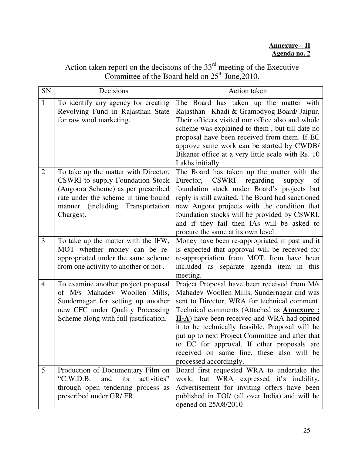### **Annexure – II Agenda no. 2**

| Action taken report on the decisions of the $33rd$ meeting of the Executive |
|-----------------------------------------------------------------------------|
| Committee of the Board held on $25th$ June, 2010.                           |

| SN              | Decisions                                                                                                                                                                                              | Action taken                                                                                                                                                                                                                                                                                                                                                                                                                                                                      |
|-----------------|--------------------------------------------------------------------------------------------------------------------------------------------------------------------------------------------------------|-----------------------------------------------------------------------------------------------------------------------------------------------------------------------------------------------------------------------------------------------------------------------------------------------------------------------------------------------------------------------------------------------------------------------------------------------------------------------------------|
| $\mathbf{1}$    | To identify any agency for creating<br>Revolving Fund in Rajasthan State<br>for raw wool marketing.                                                                                                    | The Board has taken up the matter with<br>Rajasthan Khadi & Gramodyog Board/ Jaipur.<br>Their officers visited our office also and whole<br>scheme was explained to them, but till date no<br>proposal have been received from them. If EC<br>approve same work can be started by CWDB/<br>Bikaner office at a very little scale with Rs. 10<br>Lakhs initially.                                                                                                                  |
| $\overline{2}$  | To take up the matter with Director,<br>CSWRI to supply Foundation Stock<br>(Angoora Scheme) as per prescribed<br>rate under the scheme in time bound<br>manner (including Transportation<br>Charges). | The Board has taken up the matter with the<br><b>CSWRI</b><br>regarding<br>Director,<br>supply<br><sub>of</sub><br>foundation stock under Board's projects but<br>reply is still awaited. The Board had sanctioned<br>new Angora projects with the condition that<br>foundation stocks will be provided by CSWRI.<br>and if they fail then IAs will be asked to<br>procure the same at its own level.                                                                             |
| $\overline{3}$  | To take up the matter with the IFW,<br>MOT whether money can be re-<br>appropriated under the same scheme<br>from one activity to another or not.                                                      | Money have been re-appropriated in past and it<br>is expected that approval will be received for<br>re-appropriation from MOT. Item have been<br>included as separate agenda item in this<br>meeting.                                                                                                                                                                                                                                                                             |
| $\overline{4}$  | To examine another project proposal<br>of M/s Mahadev Woollen Mills,<br>Sundernagar for setting up another<br>new CFC under Quality Processing<br>Scheme along with full justification.                | Project Proposal have been received from M/s<br>Mahadev Woollen Mills, Sundernagar and was<br>sent to Director, WRA for technical comment.<br>Technical comments (Attached as <b>Annexure :</b><br><b>II-A</b> ) have been received and WRA had opined<br>it to be technically feasible. Proposal will be<br>put up to next Project Committee and after that<br>to EC for approval. If other proposals are<br>received on same line, these also will be<br>processed accordingly. |
| $5\overline{)}$ | Production of Documentary Film on<br>"C.W.D.B.<br>activities"<br>and<br>its<br>through open tendering process as<br>prescribed under GR/FR.                                                            | Board first requested WRA to undertake the<br>work, but WRA expressed it's inability.<br>Advertisement for inviting offers have been<br>published in TOI/ (all over India) and will be<br>opened on 25/08/2010                                                                                                                                                                                                                                                                    |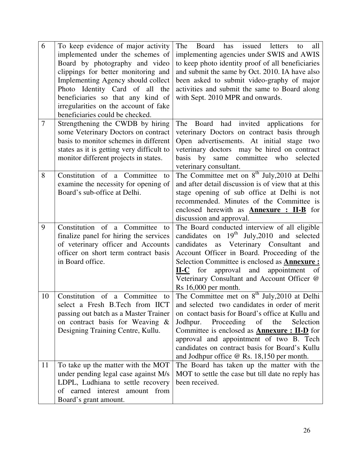| 6              | To keep evidence of major activity                      | issued<br>The<br>Board<br>has<br>letters<br>all<br>to                    |
|----------------|---------------------------------------------------------|--------------------------------------------------------------------------|
|                | implemented under the schemes of                        | implementing agencies under SWIS and AWIS                                |
|                | Board by photography and video                          | to keep photo identity proof of all beneficiaries                        |
|                | clippings for better monitoring and                     | and submit the same by Oct. 2010. IA have also                           |
|                | Implementing Agency should collect                      | been asked to submit video-graphy of major                               |
|                | Photo Identity Card of all<br>the                       | activities and submit the same to Board along                            |
|                | beneficiaries so that any kind of                       | with Sept. 2010 MPR and onwards.                                         |
|                | irregularities on the account of fake                   |                                                                          |
|                | beneficiaries could be checked.                         |                                                                          |
| $\overline{7}$ | Strengthening the CWDB by hiring                        | The Board had invited<br>applications<br>for                             |
|                | some Veterinary Doctors on contract                     | veterinary Doctors on contract basis through                             |
|                | basis to monitor schemes in different                   | Open advertisements. At initial stage two                                |
|                | states as it is getting very difficult to               | veterinary doctors may be hired on contract<br>committee                 |
|                | monitor different projects in states.                   | basis<br>by<br>same<br>who<br>selected                                   |
| 8              | Constitution of a Committee<br>to                       | veterinary consultant.<br>The Committee met on $8th$ July, 2010 at Delhi |
|                | examine the necessity for opening of                    | and after detail discussion is of view that at this                      |
|                | Board's sub-office at Delhi.                            | stage opening of sub office at Delhi is not                              |
|                |                                                         | recommended. Minutes of the Committee is                                 |
|                |                                                         | enclosed herewith as <b>Annexure : II-B</b> for                          |
|                |                                                         | discussion and approval.                                                 |
| 9              | Constitution of a Committee<br>to                       | The Board conducted interview of all eligible                            |
|                | finalize panel for hiring the services                  | candidates on $19th$ July, 2010 and selected                             |
|                | of veterinary officer and Accounts                      | as Veterinary Consultant<br>candidates<br>and                            |
|                | officer on short term contract basis                    | Account Officer in Board. Proceeding of the                              |
|                | in Board office.                                        | Selection Committee is enclosed as <b>Annexure</b> :                     |
|                |                                                         | <b>II-C</b> for approval and appointment<br>of                           |
|                |                                                         | Veterinary Consultant and Account Officer @                              |
|                |                                                         | Rs 16,000 per month.                                                     |
| 10             |                                                         |                                                                          |
|                | Constitution of a Committee<br>tΩ                       | The Committee met on $8th$ July, 2010 at Delhi                           |
|                | select a Fresh B.Tech from IICT                         | and selected two candidates in order of merit                            |
|                | passing out batch as a Master Trainer                   | on contact basis for Board's office at Kullu and                         |
|                | on contract basis for Weaving &                         | Jodhpur. Proceeding of the Selection                                     |
|                | Designing Training Centre, Kullu.                       | Committee is enclosed as <b>Annexure : II-D</b> for                      |
|                |                                                         | approval and appointment of two B. Tech                                  |
|                |                                                         | candidates on contract basis for Board's Kullu                           |
|                |                                                         | and Jodhpur office @ Rs. 18,150 per month.                               |
| 11             | To take up the matter with the MOT                      | The Board has taken up the matter with the                               |
|                | under pending legal case against M/s                    | MOT to settle the case but till date no reply has                        |
|                | LDPL, Ludhiana to settle recovery                       | been received.                                                           |
|                | of earned interest amount from<br>Board's grant amount. |                                                                          |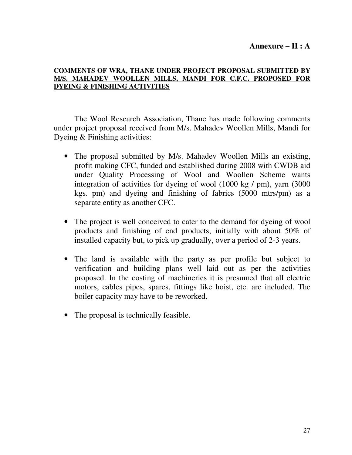## **Annexure – II : A**

## **COMMENTS OF WRA, THANE UNDER PROJECT PROPOSAL SUBMITTED BY M/S. MAHADEV WOOLLEN MILLS, MANDI FOR C.F.C. PROPOSED FOR DYEING & FINISHING ACTIVITIES**

 The Wool Research Association, Thane has made following comments under project proposal received from M/s. Mahadev Woollen Mills, Mandi for Dyeing & Finishing activities:

- The proposal submitted by M/s. Mahadev Woollen Mills an existing, profit making CFC, funded and established during 2008 with CWDB aid under Quality Processing of Wool and Woollen Scheme wants integration of activities for dyeing of wool (1000 kg / pm), yarn (3000 kgs. pm) and dyeing and finishing of fabrics (5000 mtrs/pm) as a separate entity as another CFC.
- The project is well conceived to cater to the demand for dyeing of wool products and finishing of end products, initially with about 50% of installed capacity but, to pick up gradually, over a period of 2-3 years.
- The land is available with the party as per profile but subject to verification and building plans well laid out as per the activities proposed. In the costing of machineries it is presumed that all electric motors, cables pipes, spares, fittings like hoist, etc. are included. The boiler capacity may have to be reworked.
- The proposal is technically feasible.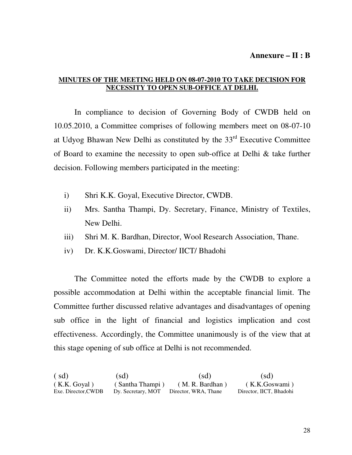## **MINUTES OF THE MEETING HELD ON 08-07-2010 TO TAKE DECISION FOR NECESSITY TO OPEN SUB-OFFICE AT DELHI.**

 In compliance to decision of Governing Body of CWDB held on 10.05.2010, a Committee comprises of following members meet on 08-07-10 at Udyog Bhawan New Delhi as constituted by the  $33<sup>rd</sup>$  Executive Committee of Board to examine the necessity to open sub-office at Delhi & take further decision. Following members participated in the meeting:

- i) Shri K.K. Goyal, Executive Director, CWDB.
- ii) Mrs. Santha Thampi, Dy. Secretary, Finance, Ministry of Textiles, New Delhi.
- iii) Shri M. K. Bardhan, Director, Wool Research Association, Thane.
- iv) Dr. K.K.Goswami, Director/ IICT/ Bhadohi

 The Committee noted the efforts made by the CWDB to explore a possible accommodation at Delhi within the acceptable financial limit. The Committee further discussed relative advantages and disadvantages of opening sub office in the light of financial and logistics implication and cost effectiveness. Accordingly, the Committee unanimously is of the view that at this stage opening of sub office at Delhi is not recommended.

( sd) (sd) (sd) (sd) ( K.K. Goyal ) ( Santha Thampi ) ( M. R. Bardhan ) ( K.K.Goswami ) Exe. Director,CWDB Dy. Secretary, MOT Director, WRA, Thane Director, IICT, Bhadohi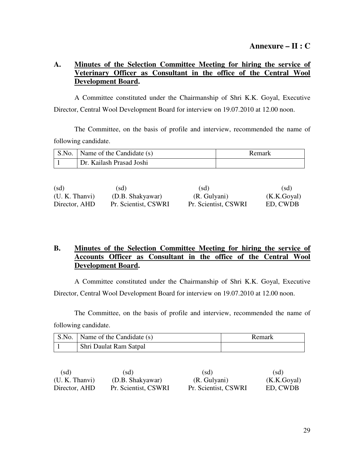## **A. Minutes of the Selection Committee Meeting for hiring the service of Veterinary Officer as Consultant in the office of the Central Wool Development Board.**

 A Committee constituted under the Chairmanship of Shri K.K. Goyal, Executive Director, Central Wool Development Board for interview on 19.07.2010 at 12.00 noon.

 The Committee, on the basis of profile and interview, recommended the name of following candidate.

| S.No.   Name of the Candidate (s) | Remark |
|-----------------------------------|--------|
| Dr. Kailash Prasad Joshi          |        |

| (sd)           | (sd)                 | (sd)                 | (sd)        |
|----------------|----------------------|----------------------|-------------|
| (U. K. Thanvi) | (D.B. Shakyawar)     | (R. Gulyani)         | (K.K.Goyal) |
| Director, AHD  | Pr. Scientist, CSWRI | Pr. Scientist, CSWRI | ED, CWDB    |

## **B. Minutes of the Selection Committee Meeting for hiring the service of Accounts Officer as Consultant in the office of the Central Wool Development Board.**

 A Committee constituted under the Chairmanship of Shri K.K. Goyal, Executive Director, Central Wool Development Board for interview on 19.07.2010 at 12.00 noon.

 The Committee, on the basis of profile and interview, recommended the name of following candidate.

| S.No.   Name of the Candidate (s) | Remark |
|-----------------------------------|--------|
| Shri Daulat Ram Satpal            |        |

| (sd)           | (sd)                 | (sd)                 | (sd)        |
|----------------|----------------------|----------------------|-------------|
| (U. K. Thanvi) | (D.B. Shakyawar)     | (R. Gulyani)         | (K.K.Goyal) |
| Director, AHD  | Pr. Scientist, CSWRI | Pr. Scientist, CSWRI | ED, CWDB    |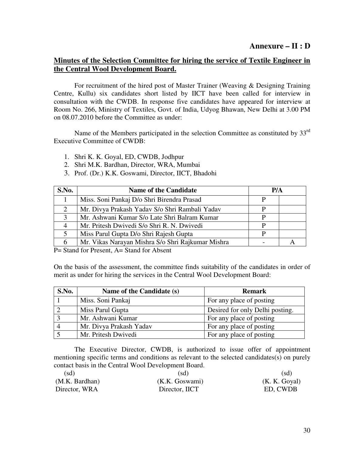## **Annexure – II : D**

## **Minutes of the Selection Committee for hiring the service of Textile Engineer in the Central Wool Development Board.**

For recruitment of the hired post of Master Trainer (Weaving & Designing Training Centre, Kullu) six candidates short listed by IICT have been called for interview in consultation with the CWDB. In response five candidates have appeared for interview at Room No. 266, Ministry of Textiles, Govt. of India, Udyog Bhawan, New Delhi at 3.00 PM on 08.07.2010 before the Committee as under:

Name of the Members participated in the selection Committee as constituted by 33<sup>rd</sup> Executive Committee of CWDB:

- 1. Shri K. K. Goyal, ED, CWDB, Jodhpur
- 2. Shri M.K. Bardhan, Director, WRA, Mumbai
- 3. Prof. (Dr.) K.K. Goswami, Director, IICT, Bhadohi

| S.No. | <b>Name of the Candidate</b>                      | P/A |  |
|-------|---------------------------------------------------|-----|--|
|       | Miss. Soni Pankaj D/o Shri Birendra Prasad        |     |  |
| 2     | Mr. Divya Prakash Yadav S/o Shri Rambali Yadav    | р   |  |
| 3     | Mr. Ashwani Kumar S/o Late Shri Balram Kumar      | D   |  |
| 4     | Mr. Pritesh Dwivedi S/o Shri R. N. Dwivedi        | D   |  |
| 5     | Miss Parul Gupta D/o Shri Rajesh Gupta            | D   |  |
| 6     | Mr. Vikas Narayan Mishra S/o Shri Rajkumar Mishra |     |  |

P = Stand for Present, A = Stand for Absent

On the basis of the assessment, the committee finds suitability of the candidates in order of merit as under for hiring the services in the Central Wool Development Board:

| S.No. | Name of the Candidate (s) | <b>Remark</b>                   |
|-------|---------------------------|---------------------------------|
|       | Miss. Soni Pankaj         | For any place of posting        |
|       | Miss Parul Gupta          | Desired for only Delhi posting. |
|       | Mr. Ashwani Kumar         | For any place of posting        |
|       | Mr. Divya Prakash Yadav   | For any place of posting        |
|       | Mr. Pritesh Dwivedi       | For any place of posting        |

 The Executive Director, CWDB, is authorized to issue offer of appointment mentioning specific terms and conditions as relevant to the selected candidates(s) on purely contact basis in the Central Wool Development Board.

| (sd)           | (sd)           | (sd)          |
|----------------|----------------|---------------|
| (M.K. Bardhan) | (K.K. Goswami) | (K. K. Goyal) |
| Director, WRA  | Director, IICT | ED, CWDB      |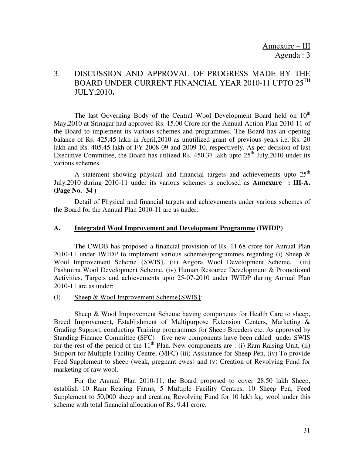# 3. DISCUSSION AND APPROVAL OF PROGRESS MADE BY THE BOARD UNDER CURRENT FINANCIAL YEAR 2010-11 UPTO  $25^{TH}$ JULY,2010**.**

The last Governing Body of the Central Wool Development Board held on  $10<sup>th</sup>$ May,2010 at Srinagar had approved Rs. 15.00 Crore for the Annual Action Plan 2010-11 of the Board to implement its various schemes and programmes. The Board has an opening balance of Rs. 425.45 lakh in April,2010 as unutilized grant of previous years i.e. Rs. 20 lakh and Rs. 405.45 lakh of FY 2008-09 and 2009-10, respectively. As per decision of last Executive Committee, the Board has utilized Rs.  $450.37$  lakh upto  $25<sup>th</sup>$  July, 2010 under its various schemes.

A statement showing physical and financial targets and achievements upto  $25<sup>th</sup>$ July,2010 during 2010-11 under its various schemes is enclosed as **Annexure : III-A. (Page No. 34 )** 

Detail of Physical and financial targets and achievements under various schemes of the Board for the Annual Plan 2010-11 are as under:

#### **A. Integrated Wool Improvement and Development Programme (IWIDP)**

 The CWDB has proposed a financial provision of Rs. 11.68 crore for Annual Plan 2010-11 under IWIDP to implement various schemes/programmes regarding (i) Sheep  $\&$ Wool Improvement Scheme {SWIS}, (ii) Angora Wool Development Scheme, Pashmina Wool Development Scheme, (iv) Human Resource Development & Promotional Activities. Targets and achievements upto 25-07-2010 under IWIDP during Annual Plan 2010-11 are as under:

(I) Sheep & Wool Improvement Scheme{SWIS}:

 Sheep & Wool Improvement Scheme having components for Health Care to sheep, Breed Improvement, Establishment of Multipurpose Extension Centers, Marketing & Grading Support, conducting Training programmes for Sheep Breeders etc. As approved by Standing Finance Committee (SFC) five new components have been added under SWIS for the rest of the period of the  $11<sup>th</sup>$  Plan. New components are : (i) Ram Raising Unit, (ii) Support for Multiple Facility Centre, (MFC) (iii) Assistance for Sheep Pen, (iv) To provide Feed Supplement to sheep (weak, pregnant ewes) and (v) Creation of Revolving Fund for marketing of raw wool.

 For the Annual Plan 2010-11, the Board proposed to cover 28.50 lakh Sheep, establish 10 Ram Rearing Farms, 5 Multiple Facility Centres, 10 Sheep Pen, Feed Supplement to 50,000 sheep and creating Revolving Fund for 10 lakh kg. wool under this scheme with total financial allocation of Rs. 9.41 crore.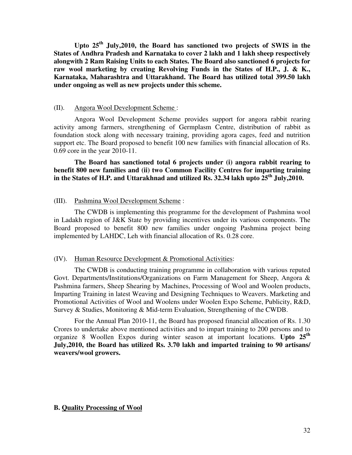**Upto 25th July,2010, the Board has sanctioned two projects of SWIS in the States of Andhra Pradesh and Karnataka to cover 2 lakh and 1 lakh sheep respectively alongwith 2 Ram Raising Units to each States. The Board also sanctioned 6 projects for raw wool marketing by creating Revolving Funds in the States of H.P., J. & K., Karnataka, Maharashtra and Uttarakhand. The Board has utilized total 399.50 lakh under ongoing as well as new projects under this scheme.** 

#### (II). Angora Wool Development Scheme :

 Angora Wool Development Scheme provides support for angora rabbit rearing activity among farmers, strengthening of Germplasm Centre, distribution of rabbit as foundation stock along with necessary training, providing agora cages, feed and nutrition support etc. The Board proposed to benefit 100 new families with financial allocation of Rs. 0.69 core in the year 2010-11.

**The Board has sanctioned total 6 projects under (i) angora rabbit rearing to benefit 800 new families and (ii) two Common Facility Centres for imparting training in the States of H.P. and Uttarakhnad and utilized Rs. 32.34 lakh upto 25th July,2010.** 

#### (III). Pashmina Wool Development Scheme :

 The CWDB is implementing this programme for the development of Pashmina wool in Ladakh region of J&K State by providing incentives under its various components. The Board proposed to benefit 800 new families under ongoing Pashmina project being implemented by LAHDC, Leh with financial allocation of Rs. 0.28 core.

#### (IV). Human Resource Development & Promotional Activities:

 The CWDB is conducting training programme in collaboration with various reputed Govt. Departments/Institutions/Organizations on Farm Management for Sheep, Angora & Pashmina farmers, Sheep Shearing by Machines, Processing of Wool and Woolen products, Imparting Training in latest Weaving and Designing Techniques to Weavers. Marketing and Promotional Activities of Wool and Woolens under Woolen Expo Scheme, Publicity, R&D, Survey & Studies, Monitoring & Mid-term Evaluation, Strengthening of the CWDB.

 For the Annual Plan 2010-11, the Board has proposed financial allocation of Rs. 1.30 Crores to undertake above mentioned activities and to impart training to 200 persons and to organize 8 Woollen Expos during winter season at important locations. **Upto 25th July,2010, the Board has utilized Rs. 3.70 lakh and imparted training to 90 artisans/ weavers/wool growers.**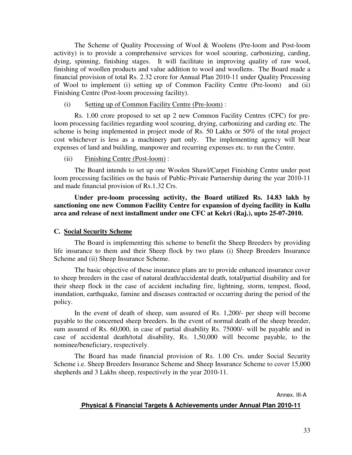The Scheme of Quality Processing of Wool & Woolens (Pre-loom and Post-loom activity) is to provide a comprehensive services for wool scouring, carbonizing, carding, dying, spinning, finishing stages. It will facilitate in improving quality of raw wool, finishing of woollen products and value addition to wool and woollens. The Board made a financial provision of total Rs. 2.32 crore for Annual Plan 2010-11 under Quality Processing of Wool to implement (i) setting up of Common Facility Centre (Pre-loom) and (ii) Finishing Centre (Post-loom processing facility).

(i) Setting up of Common Facility Centre (Pre-loom) :

 Rs. 1.00 crore proposed to set up 2 new Common Facility Centres (CFC) for preloom processing facilities regarding wool scouring, drying, carbonizing and carding etc. The scheme is being implemented in project mode of Rs. 50 Lakhs or 50% of the total project cost whichever is less as a machinery part only. The implementing agency will bear expenses of land and building, manpower and recurring expenses etc. to run the Centre.

#### (ii) Finishing Centre (Post-loom) :

 The Board intends to set up one Woolen Shawl/Carpet Finishing Centre under post loom processing facilities on the basis of Public-Private Partnership during the year 2010-11 and made financial provision of Rs.1.32 Crs.

 **Under pre-loom processing activity, the Board utilized Rs. 14.83 lakh by sanctioning one new Common Facility Centre for expansion of dyeing facility in Kullu area and release of next installment under one CFC at Kekri (Raj.), upto 25-07-2010.** 

#### **C. Social Security Scheme**

The Board is implementing this scheme to benefit the Sheep Breeders by providing life insurance to them and their Sheep flock by two plans (i) Sheep Breeders Insurance Scheme and (ii) Sheep Insurance Scheme.

The basic objective of these insurance plans are to provide enhanced insurance cover to sheep breeders in the case of natural death/accidental death, total/partial disability and for their sheep flock in the case of accident including fire, lightning, storm, tempest, flood, inundation, earthquake, famine and diseases contracted or occurring during the period of the policy.

In the event of death of sheep, sum assured of Rs. 1,200/- per sheep will become payable to the concerned sheep breeders. In the event of normal death of the sheep breeder, sum assured of Rs. 60,000, in case of partial disability Rs. 75000/- will be payable and in case of accidental death/total disability, Rs. 1,50,000 will become payable, to the nominee/beneficiary, respectively.

The Board has made financial provision of Rs. 1.00 Crs. under Social Security Scheme i.e. Sheep Breeders Insurance Scheme and Sheep Insurance Scheme to cover 15,000 shepherds and 3 Lakhs sheep, respectively in the year 2010-11.

Annex. III-A

#### **Physical & Financial Targets & Achievements under Annual Plan 2010-11**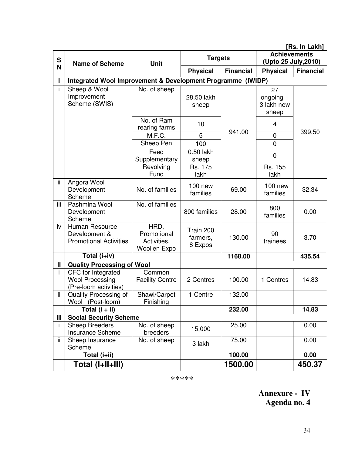|        | [Rs. In Lakh]                                                         |                                                    |                                  |                  |                                             |                  |
|--------|-----------------------------------------------------------------------|----------------------------------------------------|----------------------------------|------------------|---------------------------------------------|------------------|
| S<br>N | <b>Name of Scheme</b>                                                 | <b>Unit</b>                                        | <b>Targets</b>                   |                  | <b>Achievements</b><br>(Upto 25 July, 2010) |                  |
|        |                                                                       |                                                    | <b>Physical</b>                  | <b>Financial</b> | <b>Physical</b>                             | <b>Financial</b> |
|        | Integrated Wool Improvement & Development Programme (IWIDP)           |                                                    |                                  |                  |                                             |                  |
| i.     | Sheep & Wool<br>Improvement<br>Scheme (SWIS)                          | No. of sheep                                       | 28.50 lakh<br>sheep              |                  | 27<br>ongoing $+$<br>3 lakh new<br>sheep    |                  |
|        |                                                                       | No. of Ram<br>rearing farms                        | 10                               | 941.00           | 4                                           | 399.50           |
|        |                                                                       | M.F.C.                                             | 5                                |                  | $\mathbf 0$                                 |                  |
|        |                                                                       | Sheep Pen                                          | 100                              |                  | $\overline{0}$                              |                  |
|        |                                                                       | Feed<br>Supplementary                              | 0.50 lakh<br>sheep               |                  | $\overline{0}$                              |                  |
|        |                                                                       | Revolving<br>Fund                                  | Rs. 175<br>lakh                  |                  | Rs. 155<br>lakh                             |                  |
| ii.    | Angora Wool<br>Development<br>Scheme                                  | No. of families                                    | 100 new<br>families              | 69.00            | $100$ new<br>families                       | 32.34            |
| ΪÏ     | Pashmina Wool<br>Development<br>Scheme                                | No. of families                                    | 800 families                     | 28.00            | 800<br>families                             | 0.00             |
| iv     | Human Resource<br>Development &<br><b>Promotional Activities</b>      | HRD,<br>Promotional<br>Activities,<br>Woollen Expo | Train 200<br>farmers,<br>8 Expos | 130.00           | 90<br>trainees                              | 3.70             |
|        | Total (i+iv)                                                          |                                                    |                                  | 1168.00          |                                             | 435.54           |
| Ш      | <b>Quality Processing of Wool</b>                                     |                                                    |                                  |                  |                                             |                  |
| i.     | CFC for Integrated<br><b>Wool Processing</b><br>(Pre-loom activities) | Common<br><b>Facility Centre</b>                   | 2 Centres                        | 100.00           | 1 Centres                                   | 14.83            |
| ii.    | Quality Processing of<br>Wool (Post-loom)                             | Shawl/Carpet<br>Finishing                          | 1 Centre                         | 132.00           |                                             |                  |
|        | Total $(i + ii)$                                                      |                                                    |                                  | 232.00           |                                             | 14.83            |
| Ш      | <b>Social Security Scheme</b>                                         |                                                    |                                  |                  |                                             |                  |
| Ť      | <b>Sheep Breeders</b><br>Insurance Scheme                             | No. of sheep<br>breeders                           | 15,000                           | 25.00            |                                             | 0.00             |
| ii.    | Sheep Insurance<br>Scheme                                             | No. of sheep                                       | 3 lakh                           | 75.00            |                                             | 0.00             |
|        | Total (i+ii)                                                          |                                                    |                                  | 100.00           |                                             | 0.00             |
|        | Total (I+II+III)                                                      |                                                    |                                  | 1500.00          |                                             | 450.37           |

\*\*\*\*\*

**Annexure - IV Agenda no. 4**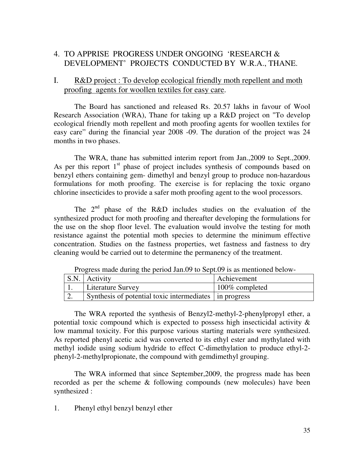# 4. TO APPRISE PROGRESS UNDER ONGOING 'RESEARCH & DEVELOPMENT' PROJECTS CONDUCTED BY W.R.A., THANE.

## I. R&D project : To develop ecological friendly moth repellent and moth proofing agents for woollen textiles for easy care.

 The Board has sanctioned and released Rs. 20.57 lakhs in favour of Wool Research Association (WRA), Thane for taking up a R&D project on "To develop ecological friendly moth repellent and moth proofing agents for woollen textiles for easy care" during the financial year 2008 -09. The duration of the project was 24 months in two phases.

 The WRA, thane has submitted interim report from Jan.,2009 to Sept.,2009. As per this report  $1<sup>st</sup>$  phase of project includes synthesis of compounds based on benzyl ethers containing gem- dimethyl and benzyl group to produce non-hazardous formulations for moth proofing. The exercise is for replacing the toxic organo chlorine insecticides to provide a safer moth proofing agent to the wool processors.

The 2<sup>nd</sup> phase of the R&D includes studies on the evaluation of the synthesized product for moth proofing and thereafter developing the formulations for the use on the shop floor level. The evaluation would involve the testing for moth resistance against the potential moth species to determine the minimum effective concentration. Studies on the fastness properties, wet fastness and fastness to dry cleaning would be carried out to determine the permanency of the treatment.

|     | S.N. Activity                                          | Achievement    |
|-----|--------------------------------------------------------|----------------|
|     | Literature Survey                                      | 100% completed |
| ـ ت | Synthesis of potential toxic intermediates in progress |                |

Progress made during the period Jan.09 to Sept.09 is as mentioned below-

 The WRA reported the synthesis of Benzyl2-methyl-2-phenylpropyl ether, a potential toxic compound which is expected to possess high insecticidal activity & low mammal toxicity. For this purpose various starting materials were synthesized. As reported phenyl acetic acid was converted to its ethyl ester and mythylated with methyl iodide using sodium hydride to effect C-dimethylation to produce ethyl-2 phenyl-2-methylpropionate, the compound with gemdimethyl grouping.

 The WRA informed that since September,2009, the progress made has been recorded as per the scheme & following compounds (new molecules) have been synthesized :

1. Phenyl ethyl benzyl benzyl ether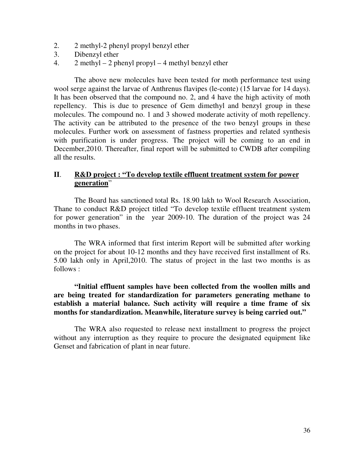- 2. 2 methyl-2 phenyl propyl benzyl ether
- 3. Dibenzyl ether
- 4. 2 methyl 2 phenyl propyl 4 methyl benzyl ether

 The above new molecules have been tested for moth performance test using wool serge against the larvae of Anthrenus flavipes (le-conte) (15 larvae for 14 days). It has been observed that the compound no. 2, and 4 have the high activity of moth repellency. This is due to presence of Gem dimethyl and benzyl group in these molecules. The compound no. 1 and 3 showed moderate activity of moth repellency. The activity can be attributed to the presence of the two benzyl groups in these molecules. Further work on assessment of fastness properties and related synthesis with purification is under progress. The project will be coming to an end in December,2010. Thereafter, final report will be submitted to CWDB after compiling all the results.

## **II**. **R&D project : "To develop textile effluent treatment system for power generation**"

 The Board has sanctioned total Rs. 18.90 lakh to Wool Research Association, Thane to conduct R&D project titled "To develop textile effluent treatment system for power generation" in the year 2009-10. The duration of the project was 24 months in two phases.

 The WRA informed that first interim Report will be submitted after working on the project for about 10-12 months and they have received first installment of Rs. 5.00 lakh only in April,2010. The status of project in the last two months is as follows :

 **"Initial effluent samples have been collected from the woollen mills and are being treated for standardization for parameters generating methane to establish a material balance. Such activity will require a time frame of six months for standardization. Meanwhile, literature survey is being carried out."** 

 The WRA also requested to release next installment to progress the project without any interruption as they require to procure the designated equipment like Genset and fabrication of plant in near future.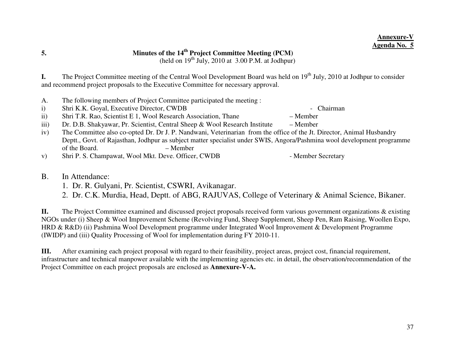# **5. Minutes of the 14th Project Committee Meeting (PCM)**

(held on  $19<sup>th</sup>$  July, 2010 at 3.00 P.M. at Jodhpur)

**I.** The Project Committee meeting of the Central Wool Development Board was held on 19<sup>th</sup> July, 2010 at Jodhpur to consider and recommend project proposals to the Executive Committee for necessary approval.

- A. The following members of Project Committee participated the meeting :
- i) Shri K.K. Goyal, Executive Director, CWDB Chairman
- ii) Shri T.R. Rao, Scientist E 1, Wool Research Association, Thane Member
- iii) Dr. D.B. Shakyawar, Pr. Scientist, Central Sheep & Wool Research Institute Member
- iv) The Committee also co-opted Dr. Dr J. P. Nandwani, Veterinarian from the office of the Jt. Director, Animal Husbandry Deptt., Govt. of Rajasthan, Jodhpur as subject matter specialist under SWIS, Angora/Pashmina wool development programme of the Board. – Member
- v) Shri P. S. Champawat, Wool Mkt. Deve. Officer, CWDB Member Secretary
- B. In Attendance:
	- 1. Dr. R. Gulyani, Pr. Scientist, CSWRI, Avikanagar.
	- 2. Dr. C.K. Murdia, Head, Deptt. of ABG, RAJUVAS, College of Veterinary & Animal Science, Bikaner.

**II.** The Project Committee examined and discussed project proposals received form various government organizations & existing NGOs under (i) Sheep & Wool Improvement Scheme (Revolving Fund, Sheep Supplement, Sheep Pen, Ram Raising, Woollen Expo, HRD & R&D) (ii) Pashmina Wool Development programme under Integrated Wool Improvement & Development Programme (IWIDP) and (iii) Quality Processing of Wool for implementation during FY 2010-11.

**III.** After examining each project proposal with regard to their feasibility, project areas, project cost, financial requirement, infrastructure and technical manpower available with the implementing agencies etc. in detail, the observation/recommendation of the Project Committee on each project proposals are enclosed as **Annexure-V-A.**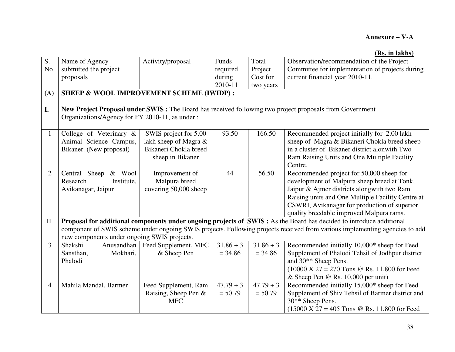|                |                                                                                                                             |                       |             |             | (Rs. in lakhs)                                                                                          |  |  |
|----------------|-----------------------------------------------------------------------------------------------------------------------------|-----------------------|-------------|-------------|---------------------------------------------------------------------------------------------------------|--|--|
| S.             | Name of Agency                                                                                                              | Activity/proposal     | Funds       | Total       | Observation/recommendation of the Project                                                               |  |  |
| No.            | submitted the project                                                                                                       |                       | required    | Project     | Committee for implementation of projects during                                                         |  |  |
|                | proposals                                                                                                                   |                       | during      | Cost for    | current financial year 2010-11.                                                                         |  |  |
|                |                                                                                                                             |                       | 2010-11     | two years   |                                                                                                         |  |  |
| (A)            | <b>SHEEP &amp; WOOL IMPROVEMENT SCHEME (IWIDP):</b>                                                                         |                       |             |             |                                                                                                         |  |  |
| I.             |                                                                                                                             |                       |             |             | New Project Proposal under SWIS: The Board has received following two project proposals from Government |  |  |
|                | Organizations/Agency for FY 2010-11, as under:                                                                              |                       |             |             |                                                                                                         |  |  |
|                |                                                                                                                             |                       |             |             |                                                                                                         |  |  |
| $\mathbf{1}$   | College of Veterinary &                                                                                                     | SWIS project for 5.00 | 93.50       | 166.50      | Recommended project initially for 2.00 lakh                                                             |  |  |
|                | Animal Science Campus,                                                                                                      | lakh sheep of Magra & |             |             | sheep of Magra & Bikaneri Chokla breed sheep                                                            |  |  |
|                | Bikaner. (New proposal)                                                                                                     | Bikaneri Chokla breed |             |             | in a cluster of Bikaner district alonwith Two                                                           |  |  |
|                |                                                                                                                             | sheep in Bikaner      |             |             | Ram Raising Units and One Multiple Facility                                                             |  |  |
|                |                                                                                                                             |                       |             |             | Centre.                                                                                                 |  |  |
| $\overline{2}$ | & Wool<br>Central Sheep                                                                                                     | Improvement of        | 44          | 56.50       | Recommended project for 50,000 sheep for                                                                |  |  |
|                | Research<br>Institute,                                                                                                      | Malpura breed         |             |             | development of Malpura sheep breed at Tonk,                                                             |  |  |
|                | Avikanagar, Jaipur                                                                                                          | covering 50,000 sheep |             |             | Jaipur & Ajmer districts alongwith two Ram                                                              |  |  |
|                |                                                                                                                             |                       |             |             | Raising units and One Multiple Facility Centre at                                                       |  |  |
|                |                                                                                                                             |                       |             |             | CSWRI, Avikanagar for production of superior                                                            |  |  |
|                |                                                                                                                             |                       |             |             | quality breedable improved Malpura rams.                                                                |  |  |
| Π.             | Proposal for additional components under ongoing projects of SWIS : As the Board has decided to introduce additional        |                       |             |             |                                                                                                         |  |  |
|                | component of SWIS scheme under ongoing SWIS projects. Following projects received from various implementing agencies to add |                       |             |             |                                                                                                         |  |  |
|                | new components under ongoing SWIS projects.                                                                                 |                       |             |             |                                                                                                         |  |  |
| $\overline{3}$ | Shakshi<br>Anusandhan                                                                                                       | Feed Supplement, MFC  | $31.86 + 3$ | $31.86 + 3$ | Recommended initially 10,000* sheep for Feed                                                            |  |  |
|                | Mokhari,<br>Sansthan,                                                                                                       | & Sheep Pen           | $= 34.86$   | $= 34.86$   | Supplement of Phalodi Tehsil of Jodhpur district                                                        |  |  |
|                | Phalodi                                                                                                                     |                       |             |             | and 30 <sup>**</sup> Sheep Pens.                                                                        |  |  |
|                |                                                                                                                             |                       |             |             | $(10000 \text{ X } 27 = 270 \text{ Tons } @$ Rs. 11,800 for Feed                                        |  |  |
|                |                                                                                                                             |                       |             |             | & Sheep Pen $@$ Rs. 10,000 per unit)                                                                    |  |  |
| $\overline{4}$ | Mahila Mandal, Barmer                                                                                                       | Feed Supplement, Ram  | $47.79 + 3$ | $47.79 + 3$ | Recommended initially 15,000* sheep for Feed                                                            |  |  |
|                |                                                                                                                             | Raising, Sheep Pen &  | $= 50.79$   | $= 50.79$   | Supplement of Shiv Tehsil of Barmer district and                                                        |  |  |
|                |                                                                                                                             | <b>MFC</b>            |             |             | 30 <sup>**</sup> Sheep Pens.                                                                            |  |  |
|                |                                                                                                                             |                       |             |             | $(15000 \text{ X } 27 = 405 \text{ Tons } @$ Rs. 11,800 for Feed                                        |  |  |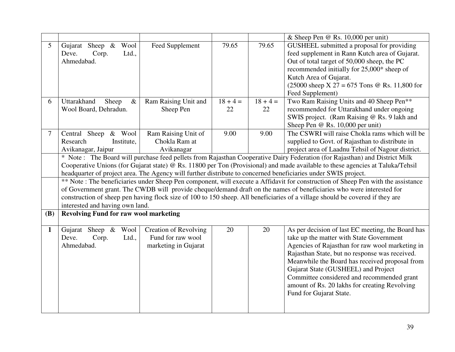|                 |                                                                                                                                |                              |            |            | & Sheep Pen $@$ Rs. 10,000 per unit)                                                                                             |  |
|-----------------|--------------------------------------------------------------------------------------------------------------------------------|------------------------------|------------|------------|----------------------------------------------------------------------------------------------------------------------------------|--|
| 5               | Gujarat Sheep & Wool                                                                                                           | Feed Supplement              | 79.65      | 79.65      | GUSHEEL submitted a proposal for providing                                                                                       |  |
|                 | Deve.<br>Corp.<br>Ltd.,                                                                                                        |                              |            |            | feed supplement in Rann Kutch area of Gujarat.                                                                                   |  |
|                 | Ahmedabad.                                                                                                                     |                              |            |            | Out of total target of 50,000 sheep, the PC                                                                                      |  |
|                 |                                                                                                                                |                              |            |            | recommended initially for 25,000* sheep of                                                                                       |  |
|                 |                                                                                                                                |                              |            |            | Kutch Area of Gujarat.                                                                                                           |  |
|                 |                                                                                                                                |                              |            |            | $(25000 \text{ sheep X } 27 = 675 \text{ Tons } @$ Rs. 11,800 for                                                                |  |
|                 |                                                                                                                                |                              |            |            | Feed Supplement)                                                                                                                 |  |
| 6               | Uttarakhand<br>Sheep<br>$\&$                                                                                                   | Ram Raising Unit and         | $18 + 4 =$ | $18 + 4 =$ | Two Ram Raising Units and 40 Sheep Pen**                                                                                         |  |
|                 | Wool Board, Dehradun.                                                                                                          | Sheep Pen                    | 22         | 22         | recommended for Uttarakhand under ongoing                                                                                        |  |
|                 |                                                                                                                                |                              |            |            | SWIS project. (Ram Raising @ Rs. 9 lakh and                                                                                      |  |
|                 |                                                                                                                                |                              |            |            | Sheep Pen @ Rs. 10,000 per unit)                                                                                                 |  |
| $7\overline{ }$ | Central Sheep & Wool                                                                                                           | Ram Raising Unit of          | 9.00       | 9.00       | The CSWRI will raise Chokla rams which will be                                                                                   |  |
|                 | Research<br>Institute,                                                                                                         | Chokla Ram at                |            |            | supplied to Govt. of Rajasthan to distribute in                                                                                  |  |
|                 | Avikanagar, Jaipur                                                                                                             | Avikanagar                   |            |            | project area of Laadnu Tehsil of Nagour district.                                                                                |  |
|                 | * Note: The Board will purchase feed pellets from Rajasthan Cooperative Dairy Federation (for Rajasthan) and District Milk     |                              |            |            |                                                                                                                                  |  |
|                 | Cooperative Unions (for Gujarat state) @ Rs. 11800 per Ton (Provisional) and made available to these agencies at Taluka/Tehsil |                              |            |            |                                                                                                                                  |  |
|                 | headquarter of project area. The Agency will further distribute to concerned beneficiaries under SWIS project.                 |                              |            |            |                                                                                                                                  |  |
|                 |                                                                                                                                |                              |            |            | ** Note: The beneficiaries under Sheep Pen component, will execute a Affidavit for construction of Sheep Pen with the assistance |  |
|                 |                                                                                                                                |                              |            |            | of Government grant. The CWDB will provide cheque/demand draft on the names of beneficiaries who were interested for             |  |
|                 |                                                                                                                                |                              |            |            | construction of sheep pen having flock size of 100 to 150 sheep. All beneficiaries of a village should be covered if they are    |  |
|                 | interested and having own land.                                                                                                |                              |            |            |                                                                                                                                  |  |
| <b>(B)</b>      | <b>Revolving Fund for raw wool marketing</b>                                                                                   |                              |            |            |                                                                                                                                  |  |
|                 |                                                                                                                                |                              |            |            |                                                                                                                                  |  |
| $\mathbf{1}$    | Gujarat Sheep & Wool                                                                                                           | <b>Creation of Revolving</b> | 20         | 20         | As per decision of last EC meeting, the Board has                                                                                |  |
|                 | Deve.<br>Corp.<br>Ltd.,                                                                                                        | Fund for raw wool            |            |            | take up the matter with State Government                                                                                         |  |
|                 | Ahmedabad.                                                                                                                     | marketing in Gujarat         |            |            | Agencies of Rajasthan for raw wool marketing in                                                                                  |  |
|                 |                                                                                                                                |                              |            |            | Rajasthan State, but no response was received.                                                                                   |  |
|                 |                                                                                                                                |                              |            |            | Meanwhile the Board has received proposal from                                                                                   |  |
|                 |                                                                                                                                |                              |            |            | Gujarat State (GUSHEEL) and Project                                                                                              |  |
|                 |                                                                                                                                |                              |            |            | Committee considered and recommended grant                                                                                       |  |
|                 |                                                                                                                                |                              |            |            | amount of Rs. 20 lakhs for creating Revolving                                                                                    |  |
|                 |                                                                                                                                |                              |            |            | Fund for Gujarat State.                                                                                                          |  |
|                 |                                                                                                                                |                              |            |            |                                                                                                                                  |  |
|                 |                                                                                                                                |                              |            |            |                                                                                                                                  |  |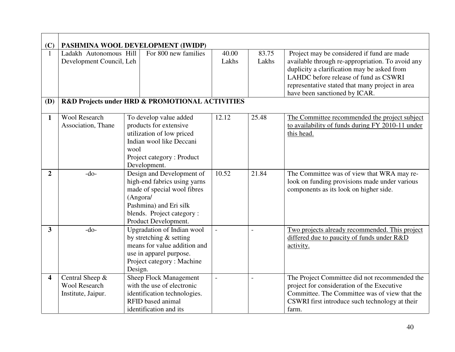| (C)                     | PASHMINA WOOL DEVELOPMENT (IWIDP)                  |                                                 |                          |                          |                                                                                                |  |
|-------------------------|----------------------------------------------------|-------------------------------------------------|--------------------------|--------------------------|------------------------------------------------------------------------------------------------|--|
| $\mathbf{1}$            | Ladakh Autonomous Hill<br>Development Council, Leh | For 800 new families                            | 40.00<br>Lakhs           | 83.75<br>Lakhs           | Project may be considered if fund are made<br>available through re-appropriation. To avoid any |  |
|                         |                                                    |                                                 |                          |                          | duplicity a clarification may be asked from<br>LAHDC before release of fund as CSWRI           |  |
|                         |                                                    |                                                 |                          |                          | representative stated that many project in area                                                |  |
|                         |                                                    |                                                 |                          |                          | have been sanctioned by ICAR.                                                                  |  |
| (D)                     |                                                    | R&D Projects under HRD & PROMOTIONAL ACTIVITIES |                          |                          |                                                                                                |  |
| $\mathbf{1}$            | <b>Wool Research</b>                               | To develop value added                          | 12.12                    | 25.48                    | The Committee recommended the project subject                                                  |  |
|                         | Association, Thane                                 | products for extensive                          |                          |                          | to availability of funds during FY 2010-11 under                                               |  |
|                         |                                                    | utilization of low priced                       |                          |                          | this head.                                                                                     |  |
|                         |                                                    | Indian wool like Deccani                        |                          |                          |                                                                                                |  |
|                         |                                                    | wool                                            |                          |                          |                                                                                                |  |
|                         |                                                    | Project category: Product                       |                          |                          |                                                                                                |  |
|                         |                                                    | Development.                                    |                          |                          |                                                                                                |  |
| $\overline{2}$          | $-do-$                                             | Design and Development of                       | 10.52                    | 21.84                    | The Committee was of view that WRA may re-                                                     |  |
|                         |                                                    | high-end fabrics using yarns                    |                          |                          | look on funding provisions made under various                                                  |  |
|                         | made of special wool fibres                        |                                                 |                          |                          | components as its look on higher side.                                                         |  |
|                         | (Angora/                                           |                                                 |                          |                          |                                                                                                |  |
|                         |                                                    | Pashmina) and Eri silk                          |                          |                          |                                                                                                |  |
|                         | blends. Project category:                          |                                                 |                          |                          |                                                                                                |  |
|                         |                                                    | Product Development.                            |                          |                          |                                                                                                |  |
| 3 <sup>1</sup>          | $-do-$                                             | Upgradation of Indian wool                      | $\overline{\phantom{a}}$ | $\overline{\phantom{a}}$ | Two projects already recommended. This project                                                 |  |
|                         |                                                    | by stretching & setting                         |                          |                          | differed due to paucity of funds under R&D                                                     |  |
|                         |                                                    | means for value addition and                    |                          |                          | activity.                                                                                      |  |
|                         |                                                    | use in apparel purpose.                         |                          |                          |                                                                                                |  |
|                         |                                                    | Project category: Machine                       |                          |                          |                                                                                                |  |
|                         |                                                    | Design.                                         |                          |                          |                                                                                                |  |
| $\overline{\mathbf{4}}$ | Central Sheep &                                    | <b>Sheep Flock Management</b>                   | $\overline{\phantom{a}}$ | $\overline{\phantom{a}}$ | The Project Committee did not recommended the                                                  |  |
|                         | <b>Wool Research</b>                               | with the use of electronic                      |                          |                          | project for consideration of the Executive                                                     |  |
|                         | Institute, Jaipur.                                 | identification technologies.                    |                          |                          | Committee. The Committee was of view that the                                                  |  |
|                         |                                                    | <b>RFID</b> based animal                        |                          |                          | CSWRI first introduce such technology at their                                                 |  |
|                         |                                                    | identification and its                          |                          |                          | farm.                                                                                          |  |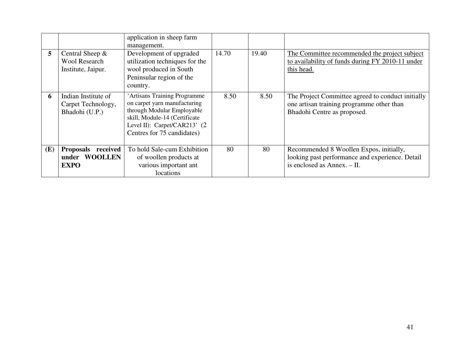| 5 <sup>5</sup> | Central Sheep $&$<br><b>Wool Research</b><br>Institute, Jaipur.        | application in sheep farm<br>management.<br>Development of upgraded<br>utilization techniques for the<br>wool produced in South<br>Peninsular region of the<br>country.                     | 14.70 | 19.40 | The Committee recommended the project subject<br>to availability of funds during FY 2010-11 under<br>this head.               |
|----------------|------------------------------------------------------------------------|---------------------------------------------------------------------------------------------------------------------------------------------------------------------------------------------|-------|-------|-------------------------------------------------------------------------------------------------------------------------------|
| 6              | Indian Institute of<br>Carpet Technology,<br>Bhadohi (U.P.)            | 'Artisans Training Programme<br>on carpet yarn manufacturing<br>through Modular Employable<br>skill, Module-14 (Certificate<br>Level II): $Carpet/CAR213'$ (2<br>Centres for 75 candidates) | 8.50  | 8.50  | The Project Committee agreed to conduct initially<br>one artisan training programme other than<br>Bhadohi Centre as proposed. |
| (E)            | received<br><b>Proposals</b><br><b>WOOLLEN</b><br>under<br><b>EXPO</b> | To hold Sale-cum Exhibition<br>of woollen products at<br>various important ant<br>locations                                                                                                 | 80    | 80    | Recommended 8 Woollen Expos, initially,<br>looking past performance and experience. Detail<br>is enclosed as $Annex. - II.$   |